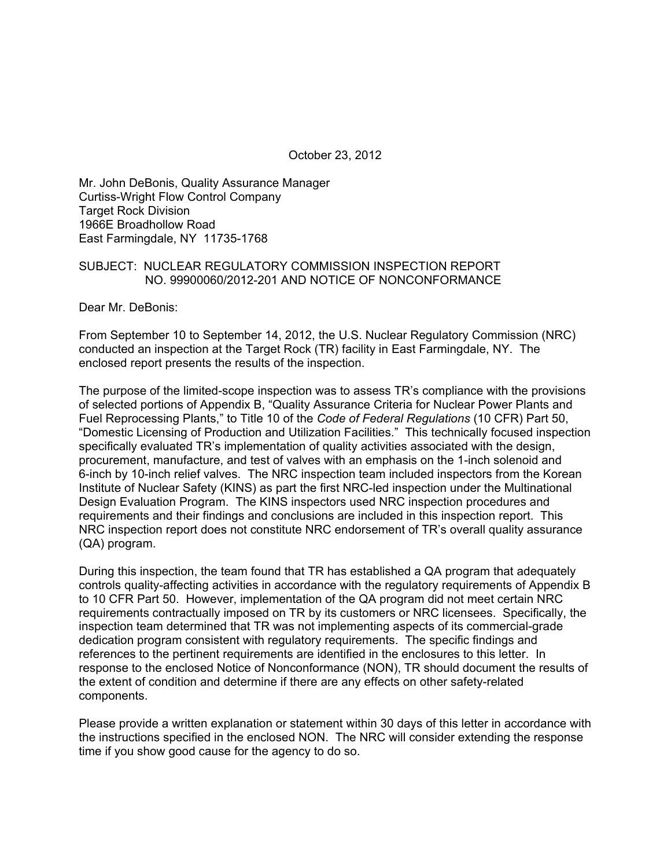October 23, 2012

Mr. John DeBonis, Quality Assurance Manager Curtiss-Wright Flow Control Company Target Rock Division 1966E Broadhollow Road East Farmingdale, NY 11735-1768

#### SUBJECT: NUCLEAR REGULATORY COMMISSION INSPECTION REPORT NO. 99900060/2012-201 AND NOTICE OF NONCONFORMANCE

Dear Mr. DeBonis:

From September 10 to September 14, 2012, the U.S. Nuclear Regulatory Commission (NRC) conducted an inspection at the Target Rock (TR) facility in East Farmingdale, NY. The enclosed report presents the results of the inspection.

The purpose of the limited-scope inspection was to assess TR's compliance with the provisions of selected portions of Appendix B, "Quality Assurance Criteria for Nuclear Power Plants and Fuel Reprocessing Plants," to Title 10 of the *Code of Federal Regulations* (10 CFR) Part 50, "Domestic Licensing of Production and Utilization Facilities." This technically focused inspection specifically evaluated TR's implementation of quality activities associated with the design, procurement, manufacture, and test of valves with an emphasis on the 1-inch solenoid and 6-inch by 10-inch relief valves. The NRC inspection team included inspectors from the Korean Institute of Nuclear Safety (KINS) as part the first NRC-led inspection under the Multinational Design Evaluation Program. The KINS inspectors used NRC inspection procedures and requirements and their findings and conclusions are included in this inspection report. This NRC inspection report does not constitute NRC endorsement of TR's overall quality assurance (QA) program.

During this inspection, the team found that TR has established a QA program that adequately controls quality-affecting activities in accordance with the regulatory requirements of Appendix B to 10 CFR Part 50. However, implementation of the QA program did not meet certain NRC requirements contractually imposed on TR by its customers or NRC licensees. Specifically, the inspection team determined that TR was not implementing aspects of its commercial-grade dedication program consistent with regulatory requirements. The specific findings and references to the pertinent requirements are identified in the enclosures to this letter. In response to the enclosed Notice of Nonconformance (NON), TR should document the results of the extent of condition and determine if there are any effects on other safety-related components.

Please provide a written explanation or statement within 30 days of this letter in accordance with the instructions specified in the enclosed NON. The NRC will consider extending the response time if you show good cause for the agency to do so.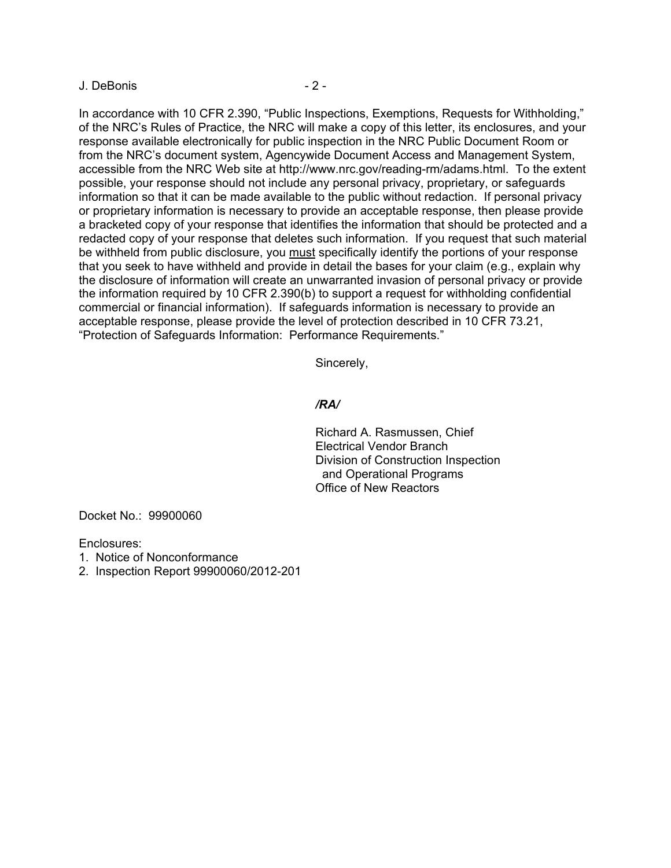#### J. DeBonis - 2 -

In accordance with 10 CFR 2.390, "Public Inspections, Exemptions, Requests for Withholding," of the NRC's Rules of Practice, the NRC will make a copy of this letter, its enclosures, and your response available electronically for public inspection in the NRC Public Document Room or from the NRC's document system, Agencywide Document Access and Management System, accessible from the NRC Web site at http://www.nrc.gov/reading-rm/adams.html. To the extent possible, your response should not include any personal privacy, proprietary, or safeguards information so that it can be made available to the public without redaction. If personal privacy or proprietary information is necessary to provide an acceptable response, then please provide a bracketed copy of your response that identifies the information that should be protected and a redacted copy of your response that deletes such information. If you request that such material be withheld from public disclosure, you must specifically identify the portions of your response that you seek to have withheld and provide in detail the bases for your claim (e.g., explain why the disclosure of information will create an unwarranted invasion of personal privacy or provide the information required by 10 CFR 2.390(b) to support a request for withholding confidential commercial or financial information). If safeguards information is necessary to provide an acceptable response, please provide the level of protection described in 10 CFR 73.21, "Protection of Safeguards Information: Performance Requirements."

Sincerely,

#### */RA/*

Richard A. Rasmussen, Chief Electrical Vendor Branch Division of Construction Inspection and Operational Programs Office of New Reactors

Docket No.: 99900060

Enclosures:

- 1. Notice of Nonconformance
- 2. Inspection Report 99900060/2012-201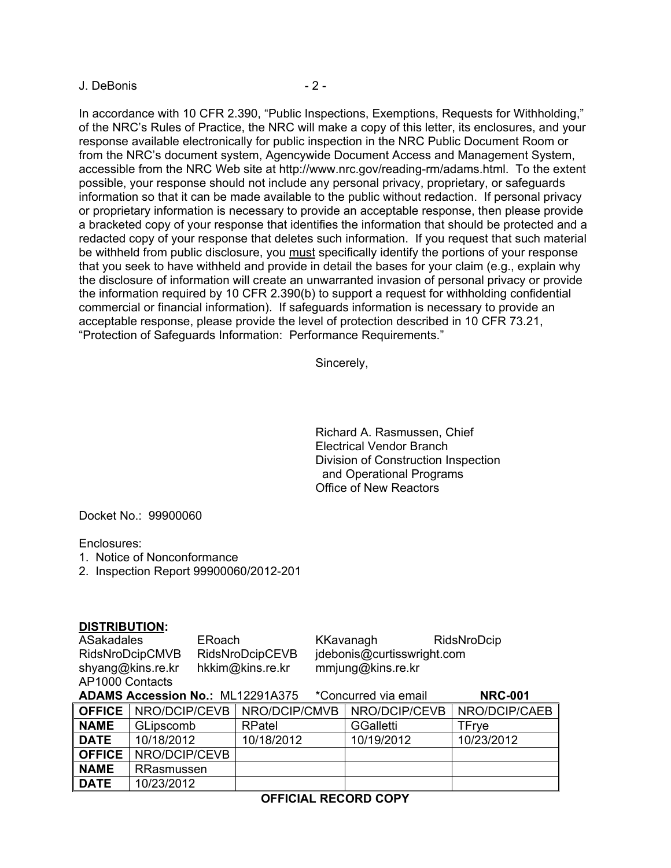#### J. DeBonis - 2 -

In accordance with 10 CFR 2.390, "Public Inspections, Exemptions, Requests for Withholding," of the NRC's Rules of Practice, the NRC will make a copy of this letter, its enclosures, and your response available electronically for public inspection in the NRC Public Document Room or from the NRC's document system, Agencywide Document Access and Management System, accessible from the NRC Web site at http://www.nrc.gov/reading-rm/adams.html. To the extent possible, your response should not include any personal privacy, proprietary, or safeguards information so that it can be made available to the public without redaction. If personal privacy or proprietary information is necessary to provide an acceptable response, then please provide a bracketed copy of your response that identifies the information that should be protected and a redacted copy of your response that deletes such information. If you request that such material be withheld from public disclosure, you must specifically identify the portions of your response that you seek to have withheld and provide in detail the bases for your claim (e.g., explain why the disclosure of information will create an unwarranted invasion of personal privacy or provide the information required by 10 CFR 2.390(b) to support a request for withholding confidential commercial or financial information). If safeguards information is necessary to provide an acceptable response, please provide the level of protection described in 10 CFR 73.21, "Protection of Safeguards Information: Performance Requirements."

Sincerely,

Richard A. Rasmussen, Chief Electrical Vendor Branch Division of Construction Inspection and Operational Programs Office of New Reactors

Docket No.: 99900060

Enclosures:

- 1. Notice of Nonconformance
- 2. Inspection Report 99900060/2012-201

#### **DISTRIBUTION:**

ASakadales ERoach KKavanagh RidsNroDcip RidsNroDcipCMVB RidsNroDcipCEVB jdebonis@curtisswright.com shyang@kins.re.kr hkkim@kins.re.kr mmjung@kins.re.kr AP1000 Contacts

| <b>ADAMS Accession No.: ML12291A375</b><br>*Concurred via email |                             |                                           |                  | <b>NRC-001</b> |
|-----------------------------------------------------------------|-----------------------------|-------------------------------------------|------------------|----------------|
|                                                                 |                             | <b>OFFICE</b> NRO/DCIP/CEVB NRO/DCIP/CMVB | NRO/DCIP/CEVB    | NRO/DCIP/CAEB  |
| <b>NAME</b>                                                     | GLipscomb                   | RPatel                                    | <b>GGalletti</b> | <b>TFrve</b>   |
| <b>DATE</b>                                                     | 10/18/2012                  | 10/18/2012                                | 10/19/2012       | 10/23/2012     |
|                                                                 | <b>OFFICE</b> NRO/DCIP/CEVB |                                           |                  |                |
| <b>NAME</b>                                                     | RRasmussen                  |                                           |                  |                |
| <b>DATE</b>                                                     | 10/23/2012                  |                                           |                  |                |

## **OFFICIAL RECORD COPY**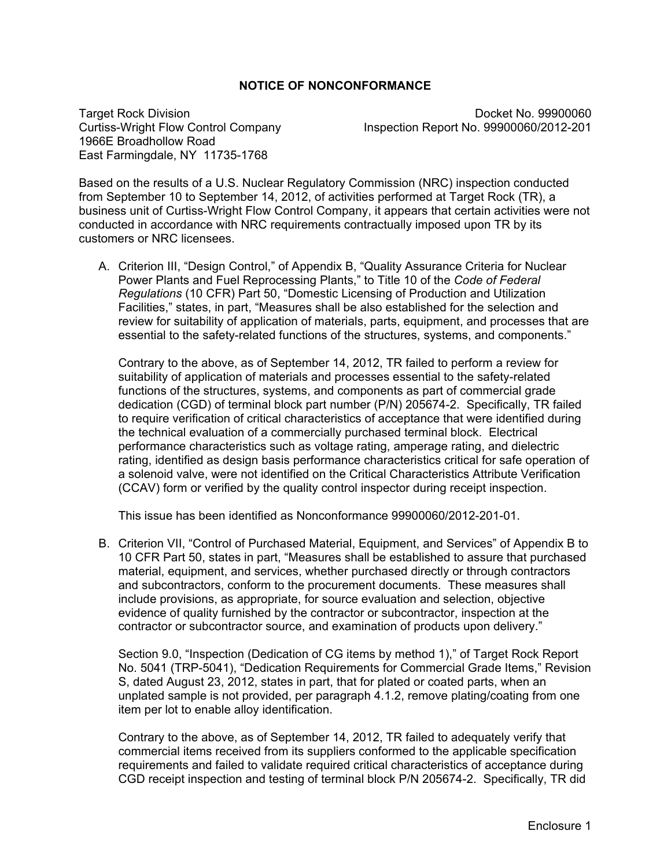## **NOTICE OF NONCONFORMANCE**

1966E Broadhollow Road East Farmingdale, NY 11735-1768

Target Rock Division **Docket No. 99900060 Docket No. 99900060** Curtiss-Wright Flow Control Company Inspection Report No. 99900060/2012-201

Based on the results of a U.S. Nuclear Regulatory Commission (NRC) inspection conducted from September 10 to September 14, 2012, of activities performed at Target Rock (TR), a business unit of Curtiss-Wright Flow Control Company, it appears that certain activities were not conducted in accordance with NRC requirements contractually imposed upon TR by its customers or NRC licensees.

A. Criterion III, "Design Control," of Appendix B, "Quality Assurance Criteria for Nuclear Power Plants and Fuel Reprocessing Plants," to Title 10 of the *Code of Federal Regulations* (10 CFR) Part 50, "Domestic Licensing of Production and Utilization Facilities," states, in part, "Measures shall be also established for the selection and review for suitability of application of materials, parts, equipment, and processes that are essential to the safety-related functions of the structures, systems, and components."

Contrary to the above, as of September 14, 2012, TR failed to perform a review for suitability of application of materials and processes essential to the safety-related functions of the structures, systems, and components as part of commercial grade dedication (CGD) of terminal block part number (P/N) 205674-2. Specifically, TR failed to require verification of critical characteristics of acceptance that were identified during the technical evaluation of a commercially purchased terminal block. Electrical performance characteristics such as voltage rating, amperage rating, and dielectric rating, identified as design basis performance characteristics critical for safe operation of a solenoid valve, were not identified on the Critical Characteristics Attribute Verification (CCAV) form or verified by the quality control inspector during receipt inspection.

This issue has been identified as Nonconformance 99900060/2012-201-01.

B. Criterion VII, "Control of Purchased Material, Equipment, and Services" of Appendix B to 10 CFR Part 50, states in part, "Measures shall be established to assure that purchased material, equipment, and services, whether purchased directly or through contractors and subcontractors, conform to the procurement documents. These measures shall include provisions, as appropriate, for source evaluation and selection, objective evidence of quality furnished by the contractor or subcontractor, inspection at the contractor or subcontractor source, and examination of products upon delivery."

Section 9.0, "Inspection (Dedication of CG items by method 1)," of Target Rock Report No. 5041 (TRP-5041), "Dedication Requirements for Commercial Grade Items," Revision S, dated August 23, 2012, states in part, that for plated or coated parts, when an unplated sample is not provided, per paragraph 4.1.2, remove plating/coating from one item per lot to enable alloy identification.

Contrary to the above, as of September 14, 2012, TR failed to adequately verify that commercial items received from its suppliers conformed to the applicable specification requirements and failed to validate required critical characteristics of acceptance during CGD receipt inspection and testing of terminal block P/N 205674-2. Specifically, TR did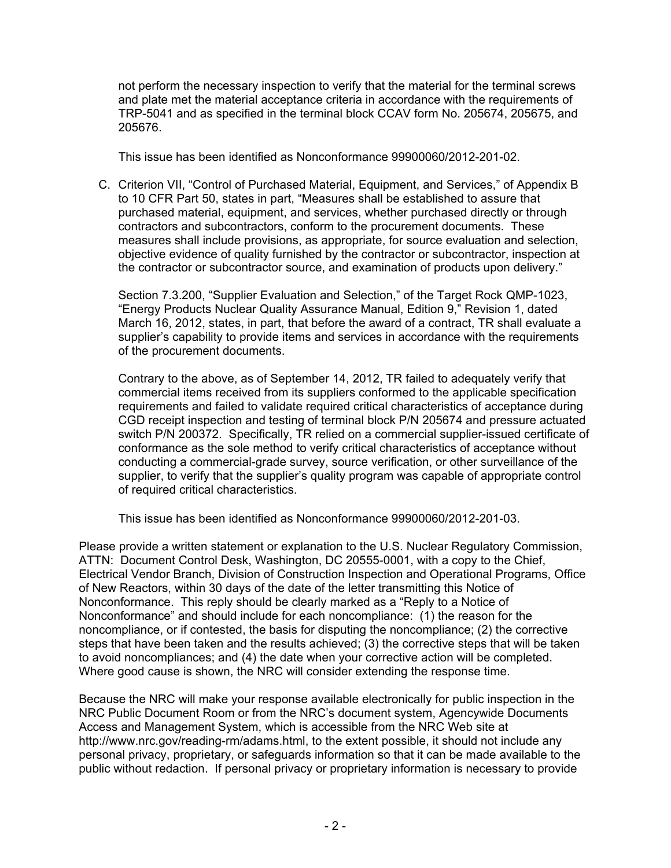not perform the necessary inspection to verify that the material for the terminal screws and plate met the material acceptance criteria in accordance with the requirements of TRP-5041 and as specified in the terminal block CCAV form No. 205674, 205675, and 205676.

This issue has been identified as Nonconformance 99900060/2012-201-02.

C. Criterion VII, "Control of Purchased Material, Equipment, and Services," of Appendix B to 10 CFR Part 50, states in part, "Measures shall be established to assure that purchased material, equipment, and services, whether purchased directly or through contractors and subcontractors, conform to the procurement documents. These measures shall include provisions, as appropriate, for source evaluation and selection, objective evidence of quality furnished by the contractor or subcontractor, inspection at the contractor or subcontractor source, and examination of products upon delivery."

Section 7.3.200, "Supplier Evaluation and Selection," of the Target Rock QMP-1023, "Energy Products Nuclear Quality Assurance Manual, Edition 9," Revision 1, dated March 16, 2012, states, in part, that before the award of a contract, TR shall evaluate a supplier's capability to provide items and services in accordance with the requirements of the procurement documents.

Contrary to the above, as of September 14, 2012, TR failed to adequately verify that commercial items received from its suppliers conformed to the applicable specification requirements and failed to validate required critical characteristics of acceptance during CGD receipt inspection and testing of terminal block P/N 205674 and pressure actuated switch P/N 200372. Specifically, TR relied on a commercial supplier-issued certificate of conformance as the sole method to verify critical characteristics of acceptance without conducting a commercial-grade survey, source verification, or other surveillance of the supplier, to verify that the supplier's quality program was capable of appropriate control of required critical characteristics.

This issue has been identified as Nonconformance 99900060/2012-201-03.

Please provide a written statement or explanation to the U.S. Nuclear Regulatory Commission, ATTN: Document Control Desk, Washington, DC 20555-0001, with a copy to the Chief, Electrical Vendor Branch, Division of Construction Inspection and Operational Programs, Office of New Reactors, within 30 days of the date of the letter transmitting this Notice of Nonconformance. This reply should be clearly marked as a "Reply to a Notice of Nonconformance" and should include for each noncompliance: (1) the reason for the noncompliance, or if contested, the basis for disputing the noncompliance; (2) the corrective steps that have been taken and the results achieved; (3) the corrective steps that will be taken to avoid noncompliances; and (4) the date when your corrective action will be completed. Where good cause is shown, the NRC will consider extending the response time.

Because the NRC will make your response available electronically for public inspection in the NRC Public Document Room or from the NRC's document system, Agencywide Documents Access and Management System, which is accessible from the NRC Web site at http://www.nrc.gov/reading-rm/adams.html, to the extent possible, it should not include any personal privacy, proprietary, or safeguards information so that it can be made available to the public without redaction. If personal privacy or proprietary information is necessary to provide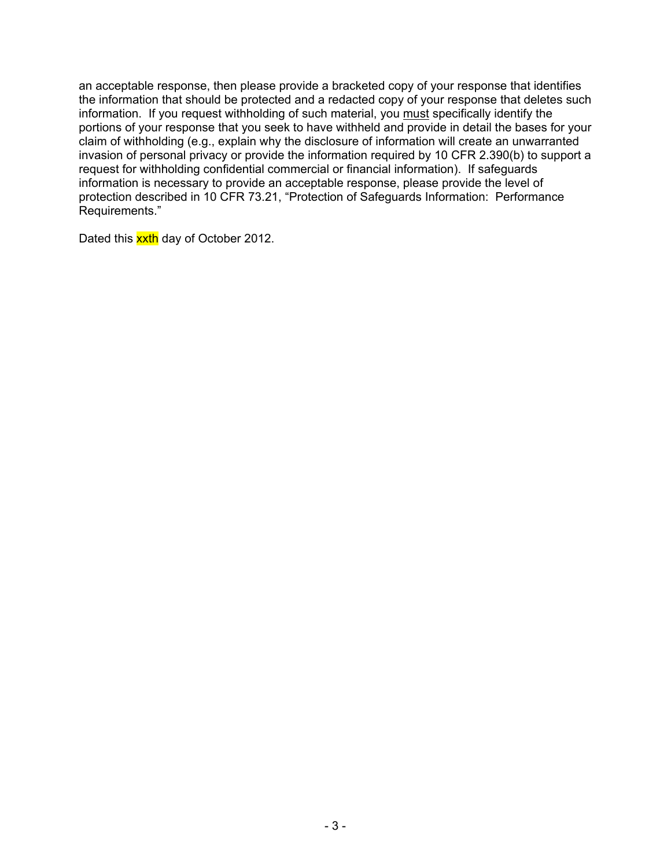an acceptable response, then please provide a bracketed copy of your response that identifies the information that should be protected and a redacted copy of your response that deletes such information. If you request withholding of such material, you must specifically identify the portions of your response that you seek to have withheld and provide in detail the bases for your claim of withholding (e.g., explain why the disclosure of information will create an unwarranted invasion of personal privacy or provide the information required by 10 CFR 2.390(b) to support a request for withholding confidential commercial or financial information). If safeguards information is necessary to provide an acceptable response, please provide the level of protection described in 10 CFR 73.21, "Protection of Safeguards Information: Performance Requirements."

Dated this xxth day of October 2012.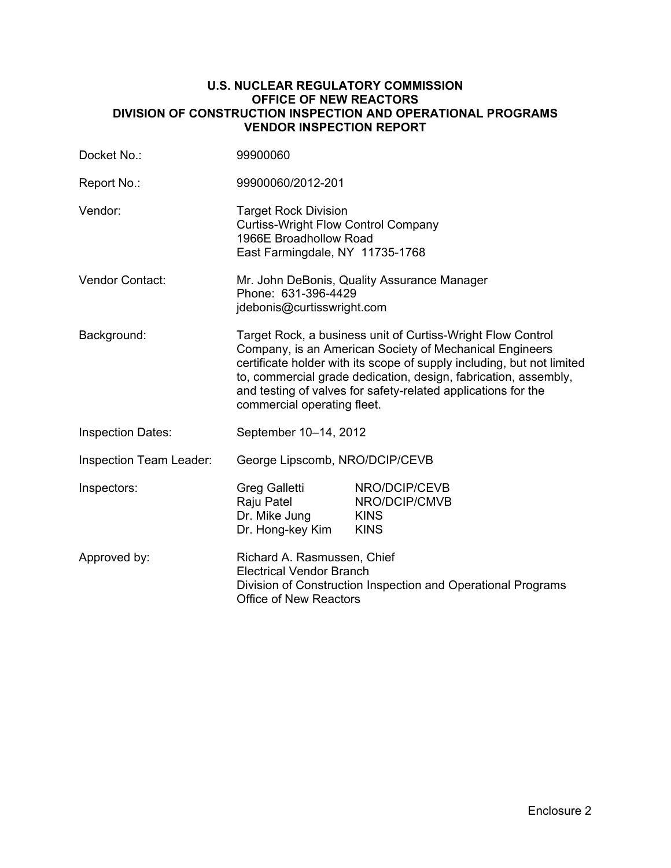#### **U.S. NUCLEAR REGULATORY COMMISSION OFFICE OF NEW REACTORS DIVISION OF CONSTRUCTION INSPECTION AND OPERATIONAL PROGRAMS VENDOR INSPECTION REPORT**

| Docket No.:              | 99900060                                                                                                                                                                                                                                                                                                                                                            |                                                              |  |
|--------------------------|---------------------------------------------------------------------------------------------------------------------------------------------------------------------------------------------------------------------------------------------------------------------------------------------------------------------------------------------------------------------|--------------------------------------------------------------|--|
| Report No.:              | 99900060/2012-201                                                                                                                                                                                                                                                                                                                                                   |                                                              |  |
| Vendor:                  | <b>Target Rock Division</b><br><b>Curtiss-Wright Flow Control Company</b><br>1966E Broadhollow Road<br>East Farmingdale, NY 11735-1768                                                                                                                                                                                                                              |                                                              |  |
| <b>Vendor Contact:</b>   | Mr. John DeBonis, Quality Assurance Manager<br>Phone: 631-396-4429<br>jdebonis@curtisswright.com                                                                                                                                                                                                                                                                    |                                                              |  |
| Background:              | Target Rock, a business unit of Curtiss-Wright Flow Control<br>Company, is an American Society of Mechanical Engineers<br>certificate holder with its scope of supply including, but not limited<br>to, commercial grade dedication, design, fabrication, assembly,<br>and testing of valves for safety-related applications for the<br>commercial operating fleet. |                                                              |  |
| <b>Inspection Dates:</b> | September 10-14, 2012                                                                                                                                                                                                                                                                                                                                               |                                                              |  |
| Inspection Team Leader:  | George Lipscomb, NRO/DCIP/CEVB                                                                                                                                                                                                                                                                                                                                      |                                                              |  |
| Inspectors:              | Greg Galletti<br>Raju Patel<br>Dr. Mike Jung<br>Dr. Hong-key Kim                                                                                                                                                                                                                                                                                                    | NRO/DCIP/CEVB<br>NRO/DCIP/CMVB<br><b>KINS</b><br><b>KINS</b> |  |
| Approved by:             | Richard A. Rasmussen, Chief<br><b>Electrical Vendor Branch</b><br>Division of Construction Inspection and Operational Programs<br><b>Office of New Reactors</b>                                                                                                                                                                                                     |                                                              |  |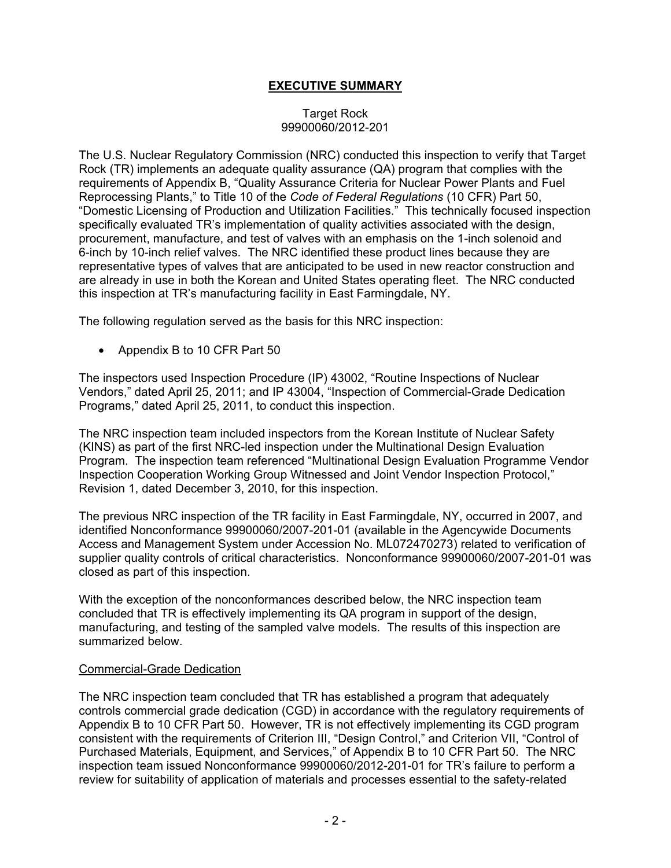# **EXECUTIVE SUMMARY**

#### Target Rock 99900060/2012-201

The U.S. Nuclear Regulatory Commission (NRC) conducted this inspection to verify that Target Rock (TR) implements an adequate quality assurance (QA) program that complies with the requirements of Appendix B, "Quality Assurance Criteria for Nuclear Power Plants and Fuel Reprocessing Plants," to Title 10 of the *Code of Federal Regulations* (10 CFR) Part 50, "Domestic Licensing of Production and Utilization Facilities." This technically focused inspection specifically evaluated TR's implementation of quality activities associated with the design, procurement, manufacture, and test of valves with an emphasis on the 1-inch solenoid and 6-inch by 10-inch relief valves. The NRC identified these product lines because they are representative types of valves that are anticipated to be used in new reactor construction and are already in use in both the Korean and United States operating fleet. The NRC conducted this inspection at TR's manufacturing facility in East Farmingdale, NY.

The following regulation served as the basis for this NRC inspection:

• Appendix B to 10 CFR Part 50

The inspectors used Inspection Procedure (IP) 43002, "Routine Inspections of Nuclear Vendors," dated April 25, 2011; and IP 43004, "Inspection of Commercial-Grade Dedication Programs," dated April 25, 2011, to conduct this inspection.

The NRC inspection team included inspectors from the Korean Institute of Nuclear Safety (KINS) as part of the first NRC-led inspection under the Multinational Design Evaluation Program. The inspection team referenced "Multinational Design Evaluation Programme Vendor Inspection Cooperation Working Group Witnessed and Joint Vendor Inspection Protocol," Revision 1, dated December 3, 2010, for this inspection.

The previous NRC inspection of the TR facility in East Farmingdale, NY, occurred in 2007, and identified Nonconformance 99900060/2007-201-01 (available in the Agencywide Documents Access and Management System under Accession No. ML072470273) related to verification of supplier quality controls of critical characteristics. Nonconformance 99900060/2007-201-01 was closed as part of this inspection.

With the exception of the nonconformances described below, the NRC inspection team concluded that TR is effectively implementing its QA program in support of the design, manufacturing, and testing of the sampled valve models. The results of this inspection are summarized below.

#### Commercial-Grade Dedication

The NRC inspection team concluded that TR has established a program that adequately controls commercial grade dedication (CGD) in accordance with the regulatory requirements of Appendix B to 10 CFR Part 50. However, TR is not effectively implementing its CGD program consistent with the requirements of Criterion III, "Design Control," and Criterion VII, "Control of Purchased Materials, Equipment, and Services," of Appendix B to 10 CFR Part 50. The NRC inspection team issued Nonconformance 99900060/2012-201-01 for TR's failure to perform a review for suitability of application of materials and processes essential to the safety-related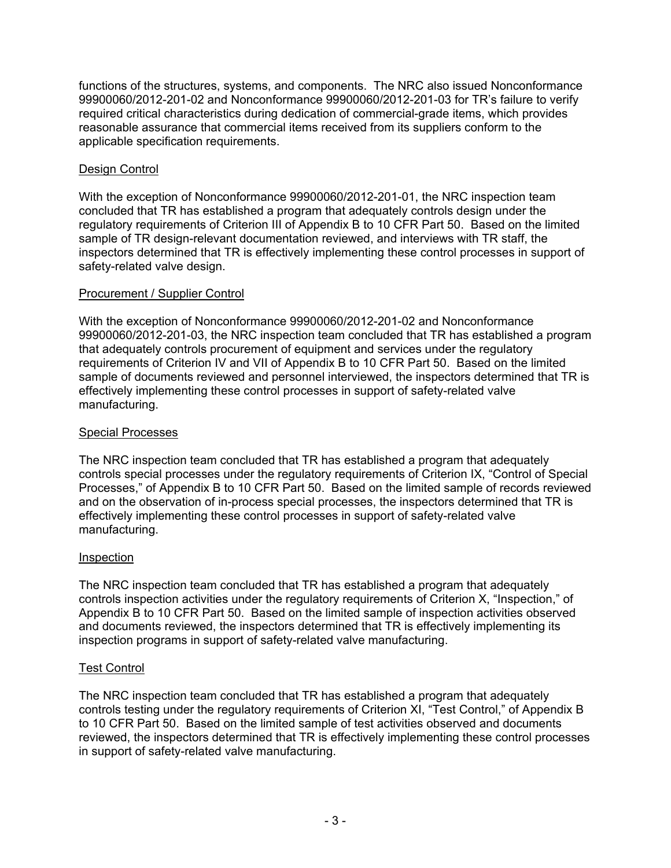functions of the structures, systems, and components. The NRC also issued Nonconformance 99900060/2012-201-02 and Nonconformance 99900060/2012-201-03 for TR's failure to verify required critical characteristics during dedication of commercial-grade items, which provides reasonable assurance that commercial items received from its suppliers conform to the applicable specification requirements.

# Design Control

With the exception of Nonconformance 99900060/2012-201-01, the NRC inspection team concluded that TR has established a program that adequately controls design under the regulatory requirements of Criterion III of Appendix B to 10 CFR Part 50. Based on the limited sample of TR design-relevant documentation reviewed, and interviews with TR staff, the inspectors determined that TR is effectively implementing these control processes in support of safety-related valve design.

## Procurement / Supplier Control

With the exception of Nonconformance 99900060/2012-201-02 and Nonconformance 99900060/2012-201-03, the NRC inspection team concluded that TR has established a program that adequately controls procurement of equipment and services under the regulatory requirements of Criterion IV and VII of Appendix B to 10 CFR Part 50. Based on the limited sample of documents reviewed and personnel interviewed, the inspectors determined that TR is effectively implementing these control processes in support of safety-related valve manufacturing.

## Special Processes

The NRC inspection team concluded that TR has established a program that adequately controls special processes under the regulatory requirements of Criterion IX, "Control of Special Processes," of Appendix B to 10 CFR Part 50. Based on the limited sample of records reviewed and on the observation of in-process special processes, the inspectors determined that TR is effectively implementing these control processes in support of safety-related valve manufacturing.

## Inspection

The NRC inspection team concluded that TR has established a program that adequately controls inspection activities under the regulatory requirements of Criterion X, "Inspection," of Appendix B to 10 CFR Part 50. Based on the limited sample of inspection activities observed and documents reviewed, the inspectors determined that TR is effectively implementing its inspection programs in support of safety-related valve manufacturing.

# Test Control

The NRC inspection team concluded that TR has established a program that adequately controls testing under the regulatory requirements of Criterion XI, "Test Control," of Appendix B to 10 CFR Part 50. Based on the limited sample of test activities observed and documents reviewed, the inspectors determined that TR is effectively implementing these control processes in support of safety-related valve manufacturing.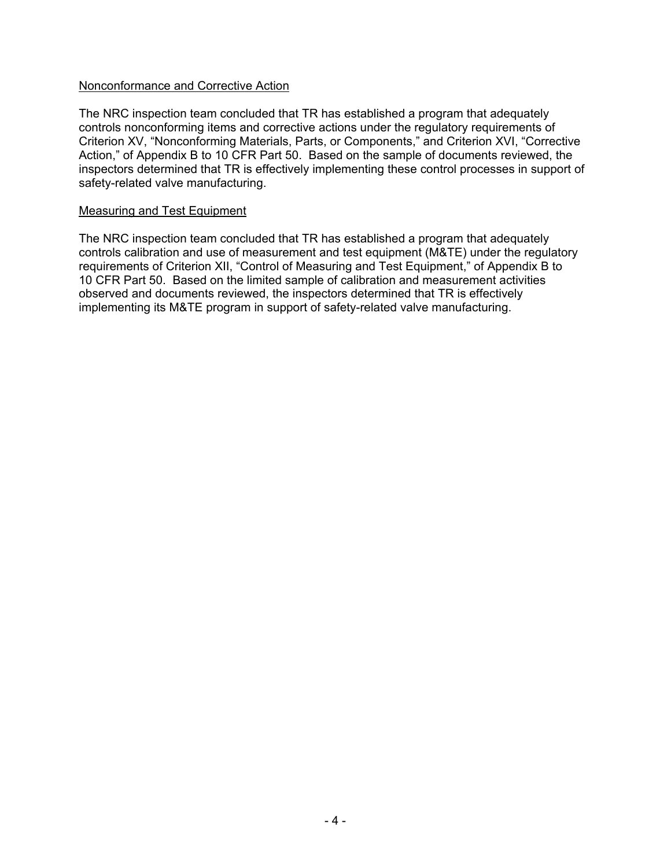### Nonconformance and Corrective Action

The NRC inspection team concluded that TR has established a program that adequately controls nonconforming items and corrective actions under the regulatory requirements of Criterion XV, "Nonconforming Materials, Parts, or Components," and Criterion XVI, "Corrective Action," of Appendix B to 10 CFR Part 50. Based on the sample of documents reviewed, the inspectors determined that TR is effectively implementing these control processes in support of safety-related valve manufacturing.

#### Measuring and Test Equipment

The NRC inspection team concluded that TR has established a program that adequately controls calibration and use of measurement and test equipment (M&TE) under the regulatory requirements of Criterion XII, "Control of Measuring and Test Equipment," of Appendix B to 10 CFR Part 50. Based on the limited sample of calibration and measurement activities observed and documents reviewed, the inspectors determined that TR is effectively implementing its M&TE program in support of safety-related valve manufacturing.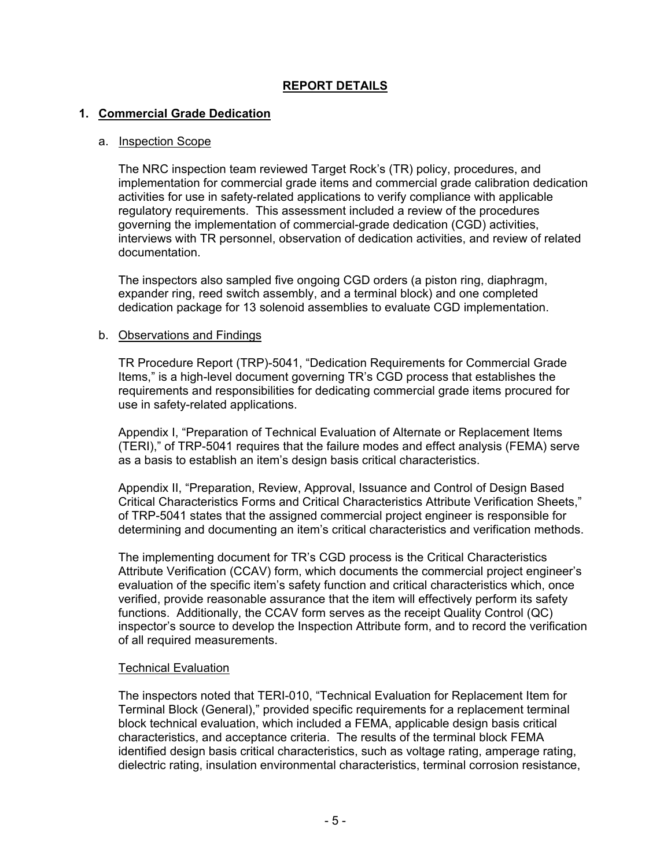# **REPORT DETAILS**

## **1. Commercial Grade Dedication**

#### a. Inspection Scope

The NRC inspection team reviewed Target Rock's (TR) policy, procedures, and implementation for commercial grade items and commercial grade calibration dedication activities for use in safety-related applications to verify compliance with applicable regulatory requirements. This assessment included a review of the procedures governing the implementation of commercial-grade dedication (CGD) activities, interviews with TR personnel, observation of dedication activities, and review of related documentation.

The inspectors also sampled five ongoing CGD orders (a piston ring, diaphragm, expander ring, reed switch assembly, and a terminal block) and one completed dedication package for 13 solenoid assemblies to evaluate CGD implementation.

#### b. Observations and Findings

TR Procedure Report (TRP)-5041, "Dedication Requirements for Commercial Grade Items," is a high-level document governing TR's CGD process that establishes the requirements and responsibilities for dedicating commercial grade items procured for use in safety-related applications.

Appendix I, "Preparation of Technical Evaluation of Alternate or Replacement Items (TERI)," of TRP-5041 requires that the failure modes and effect analysis (FEMA) serve as a basis to establish an item's design basis critical characteristics.

Appendix II, "Preparation, Review, Approval, Issuance and Control of Design Based Critical Characteristics Forms and Critical Characteristics Attribute Verification Sheets," of TRP-5041 states that the assigned commercial project engineer is responsible for determining and documenting an item's critical characteristics and verification methods.

The implementing document for TR's CGD process is the Critical Characteristics Attribute Verification (CCAV) form, which documents the commercial project engineer's evaluation of the specific item's safety function and critical characteristics which, once verified, provide reasonable assurance that the item will effectively perform its safety functions. Additionally, the CCAV form serves as the receipt Quality Control (QC) inspector's source to develop the Inspection Attribute form, and to record the verification of all required measurements.

#### Technical Evaluation

The inspectors noted that TERI-010, "Technical Evaluation for Replacement Item for Terminal Block (General)," provided specific requirements for a replacement terminal block technical evaluation, which included a FEMA, applicable design basis critical characteristics, and acceptance criteria. The results of the terminal block FEMA identified design basis critical characteristics, such as voltage rating, amperage rating, dielectric rating, insulation environmental characteristics, terminal corrosion resistance,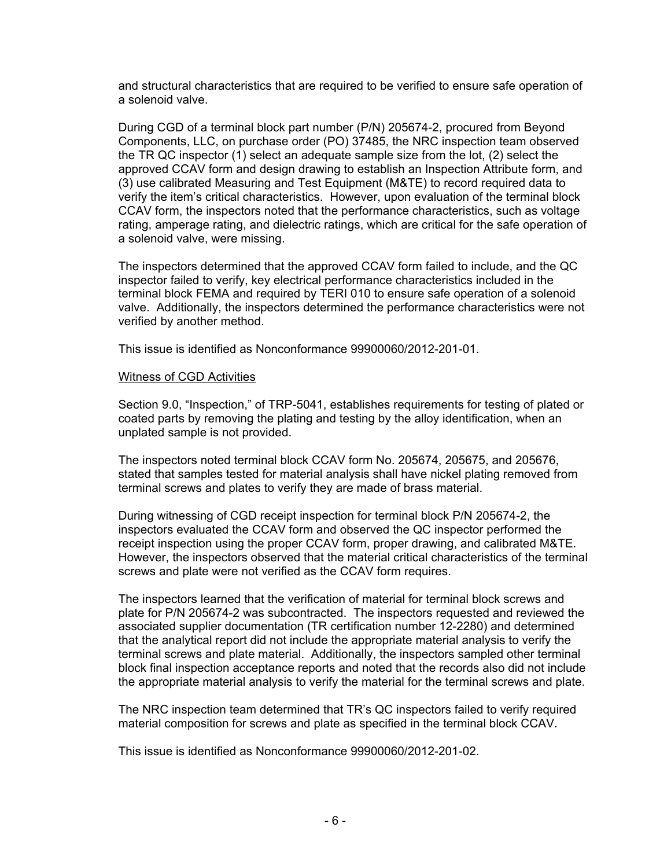and structural characteristics that are required to be verified to ensure safe operation of a solenoid valve.

During CGD of a terminal block part number (P/N) 205674-2, procured from Beyond Components, LLC, on purchase order (PO) 37485, the NRC inspection team observed the TR QC inspector (1) select an adequate sample size from the lot, (2) select the approved CCAV form and design drawing to establish an Inspection Attribute form, and (3) use calibrated Measuring and Test Equipment (M&TE) to record required data to verify the item's critical characteristics. However, upon evaluation of the terminal block CCAV form, the inspectors noted that the performance characteristics, such as voltage rating, amperage rating, and dielectric ratings, which are critical for the safe operation of a solenoid valve, were missing.

The inspectors determined that the approved CCAV form failed to include, and the QC inspector failed to verify, key electrical performance characteristics included in the terminal block FEMA and required by TERI 010 to ensure safe operation of a solenoid valve. Additionally, the inspectors determined the performance characteristics were not verified by another method.

This issue is identified as Nonconformance 99900060/2012-201-01.

#### Witness of CGD Activities

Section 9.0, "Inspection," of TRP-5041, establishes requirements for testing of plated or coated parts by removing the plating and testing by the alloy identification, when an unplated sample is not provided.

The inspectors noted terminal block CCAV form No. 205674, 205675, and 205676, stated that samples tested for material analysis shall have nickel plating removed from terminal screws and plates to verify they are made of brass material.

During witnessing of CGD receipt inspection for terminal block P/N 205674-2, the inspectors evaluated the CCAV form and observed the QC inspector performed the receipt inspection using the proper CCAV form, proper drawing, and calibrated M&TE. However, the inspectors observed that the material critical characteristics of the terminal screws and plate were not verified as the CCAV form requires.

The inspectors learned that the verification of material for terminal block screws and plate for P/N 205674-2 was subcontracted. The inspectors requested and reviewed the associated supplier documentation (TR certification number 12-2280) and determined that the analytical report did not include the appropriate material analysis to verify the terminal screws and plate material. Additionally, the inspectors sampled other terminal block final inspection acceptance reports and noted that the records also did not include the appropriate material analysis to verify the material for the terminal screws and plate.

The NRC inspection team determined that TR's QC inspectors failed to verify required material composition for screws and plate as specified in the terminal block CCAV.

This issue is identified as Nonconformance 99900060/2012-201-02.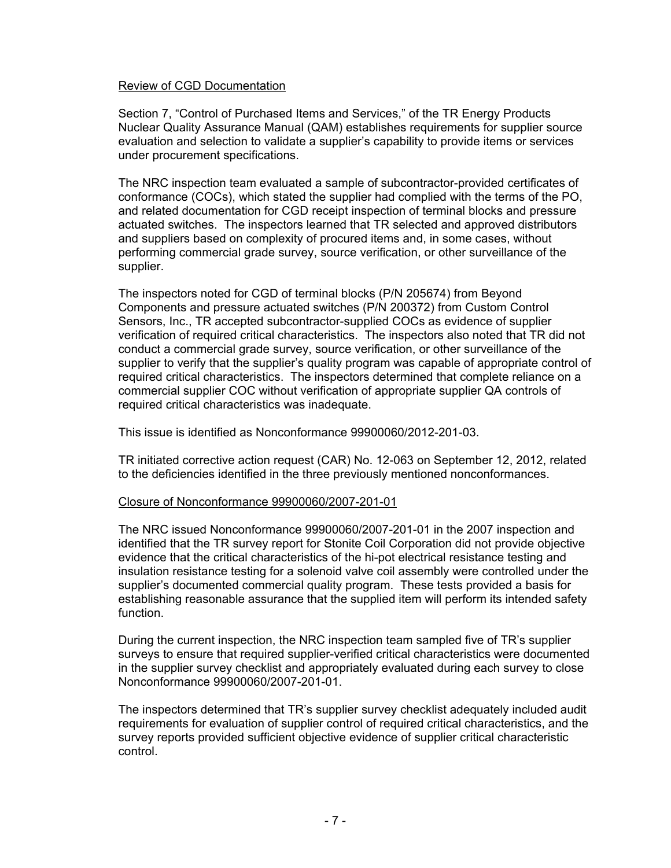#### Review of CGD Documentation

Section 7, "Control of Purchased Items and Services," of the TR Energy Products Nuclear Quality Assurance Manual (QAM) establishes requirements for supplier source evaluation and selection to validate a supplier's capability to provide items or services under procurement specifications.

The NRC inspection team evaluated a sample of subcontractor-provided certificates of conformance (COCs), which stated the supplier had complied with the terms of the PO, and related documentation for CGD receipt inspection of terminal blocks and pressure actuated switches. The inspectors learned that TR selected and approved distributors and suppliers based on complexity of procured items and, in some cases, without performing commercial grade survey, source verification, or other surveillance of the supplier.

The inspectors noted for CGD of terminal blocks (P/N 205674) from Beyond Components and pressure actuated switches (P/N 200372) from Custom Control Sensors, Inc., TR accepted subcontractor-supplied COCs as evidence of supplier verification of required critical characteristics. The inspectors also noted that TR did not conduct a commercial grade survey, source verification, or other surveillance of the supplier to verify that the supplier's quality program was capable of appropriate control of required critical characteristics. The inspectors determined that complete reliance on a commercial supplier COC without verification of appropriate supplier QA controls of required critical characteristics was inadequate.

This issue is identified as Nonconformance 99900060/2012-201-03.

TR initiated corrective action request (CAR) No. 12-063 on September 12, 2012, related to the deficiencies identified in the three previously mentioned nonconformances.

#### Closure of Nonconformance 99900060/2007-201-01

The NRC issued Nonconformance 99900060/2007-201-01 in the 2007 inspection and identified that the TR survey report for Stonite Coil Corporation did not provide objective evidence that the critical characteristics of the hi-pot electrical resistance testing and insulation resistance testing for a solenoid valve coil assembly were controlled under the supplier's documented commercial quality program. These tests provided a basis for establishing reasonable assurance that the supplied item will perform its intended safety function.

During the current inspection, the NRC inspection team sampled five of TR's supplier surveys to ensure that required supplier-verified critical characteristics were documented in the supplier survey checklist and appropriately evaluated during each survey to close Nonconformance 99900060/2007-201-01.

The inspectors determined that TR's supplier survey checklist adequately included audit requirements for evaluation of supplier control of required critical characteristics, and the survey reports provided sufficient objective evidence of supplier critical characteristic control.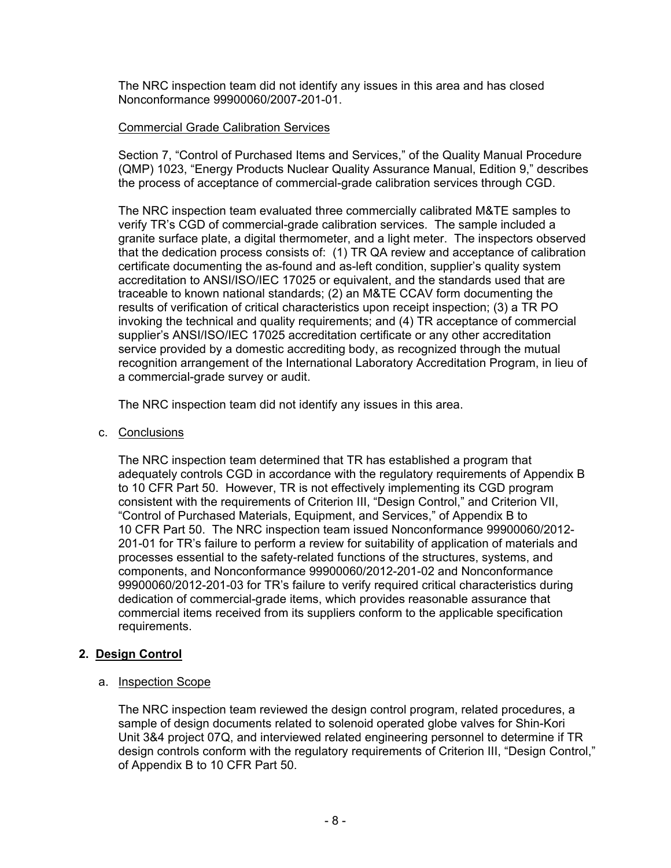The NRC inspection team did not identify any issues in this area and has closed Nonconformance 99900060/2007-201-01.

## Commercial Grade Calibration Services

Section 7, "Control of Purchased Items and Services," of the Quality Manual Procedure (QMP) 1023, "Energy Products Nuclear Quality Assurance Manual, Edition 9," describes the process of acceptance of commercial-grade calibration services through CGD.

The NRC inspection team evaluated three commercially calibrated M&TE samples to verify TR's CGD of commercial-grade calibration services. The sample included a granite surface plate, a digital thermometer, and a light meter. The inspectors observed that the dedication process consists of: (1) TR QA review and acceptance of calibration certificate documenting the as-found and as-left condition, supplier's quality system accreditation to ANSI/ISO/IEC 17025 or equivalent, and the standards used that are traceable to known national standards; (2) an M&TE CCAV form documenting the results of verification of critical characteristics upon receipt inspection; (3) a TR PO invoking the technical and quality requirements; and (4) TR acceptance of commercial supplier's ANSI/ISO/IEC 17025 accreditation certificate or any other accreditation service provided by a domestic accrediting body, as recognized through the mutual recognition arrangement of the International Laboratory Accreditation Program, in lieu of a commercial-grade survey or audit.

The NRC inspection team did not identify any issues in this area.

c. Conclusions

The NRC inspection team determined that TR has established a program that adequately controls CGD in accordance with the regulatory requirements of Appendix B to 10 CFR Part 50. However, TR is not effectively implementing its CGD program consistent with the requirements of Criterion III, "Design Control," and Criterion VII, "Control of Purchased Materials, Equipment, and Services," of Appendix B to 10 CFR Part 50. The NRC inspection team issued Nonconformance 99900060/2012- 201-01 for TR's failure to perform a review for suitability of application of materials and processes essential to the safety-related functions of the structures, systems, and components, and Nonconformance 99900060/2012-201-02 and Nonconformance 99900060/2012-201-03 for TR's failure to verify required critical characteristics during dedication of commercial-grade items, which provides reasonable assurance that commercial items received from its suppliers conform to the applicable specification requirements.

# **2. Design Control**

a. Inspection Scope

The NRC inspection team reviewed the design control program, related procedures, a sample of design documents related to solenoid operated globe valves for Shin-Kori Unit 3&4 project 07Q, and interviewed related engineering personnel to determine if TR design controls conform with the regulatory requirements of Criterion III, "Design Control," of Appendix B to 10 CFR Part 50.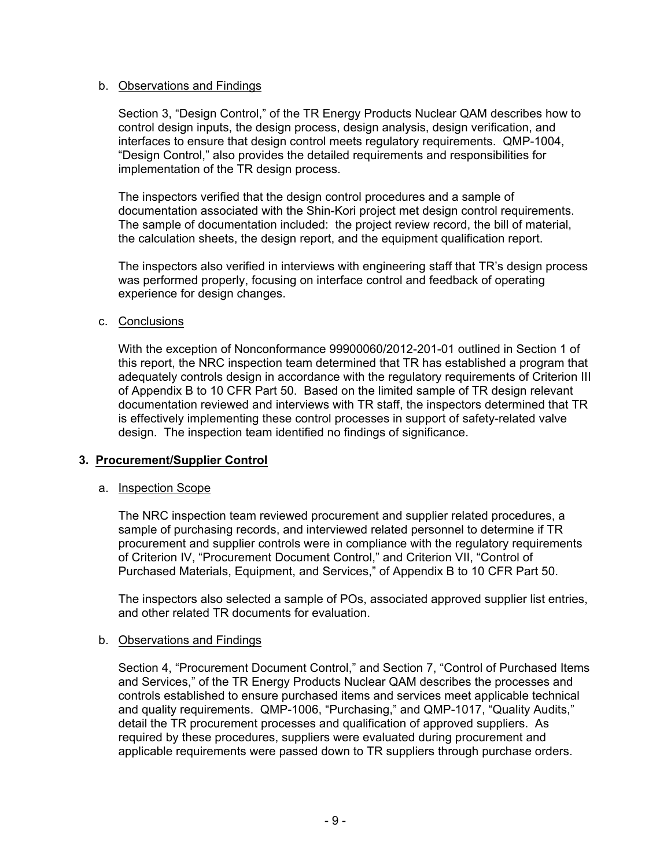## b. Observations and Findings

Section 3, "Design Control," of the TR Energy Products Nuclear QAM describes how to control design inputs, the design process, design analysis, design verification, and interfaces to ensure that design control meets regulatory requirements. QMP-1004, "Design Control," also provides the detailed requirements and responsibilities for implementation of the TR design process.

The inspectors verified that the design control procedures and a sample of documentation associated with the Shin-Kori project met design control requirements. The sample of documentation included: the project review record, the bill of material, the calculation sheets, the design report, and the equipment qualification report.

The inspectors also verified in interviews with engineering staff that TR's design process was performed properly, focusing on interface control and feedback of operating experience for design changes.

#### c. Conclusions

With the exception of Nonconformance 99900060/2012-201-01 outlined in Section 1 of this report, the NRC inspection team determined that TR has established a program that adequately controls design in accordance with the regulatory requirements of Criterion III of Appendix B to 10 CFR Part 50. Based on the limited sample of TR design relevant documentation reviewed and interviews with TR staff, the inspectors determined that TR is effectively implementing these control processes in support of safety-related valve design. The inspection team identified no findings of significance.

## **3. Procurement/Supplier Control**

#### a. Inspection Scope

The NRC inspection team reviewed procurement and supplier related procedures, a sample of purchasing records, and interviewed related personnel to determine if TR procurement and supplier controls were in compliance with the regulatory requirements of Criterion IV, "Procurement Document Control," and Criterion VII, "Control of Purchased Materials, Equipment, and Services," of Appendix B to 10 CFR Part 50.

The inspectors also selected a sample of POs, associated approved supplier list entries, and other related TR documents for evaluation.

#### b. Observations and Findings

Section 4, "Procurement Document Control," and Section 7, "Control of Purchased Items and Services," of the TR Energy Products Nuclear QAM describes the processes and controls established to ensure purchased items and services meet applicable technical and quality requirements. QMP-1006, "Purchasing," and QMP-1017, "Quality Audits," detail the TR procurement processes and qualification of approved suppliers. As required by these procedures, suppliers were evaluated during procurement and applicable requirements were passed down to TR suppliers through purchase orders.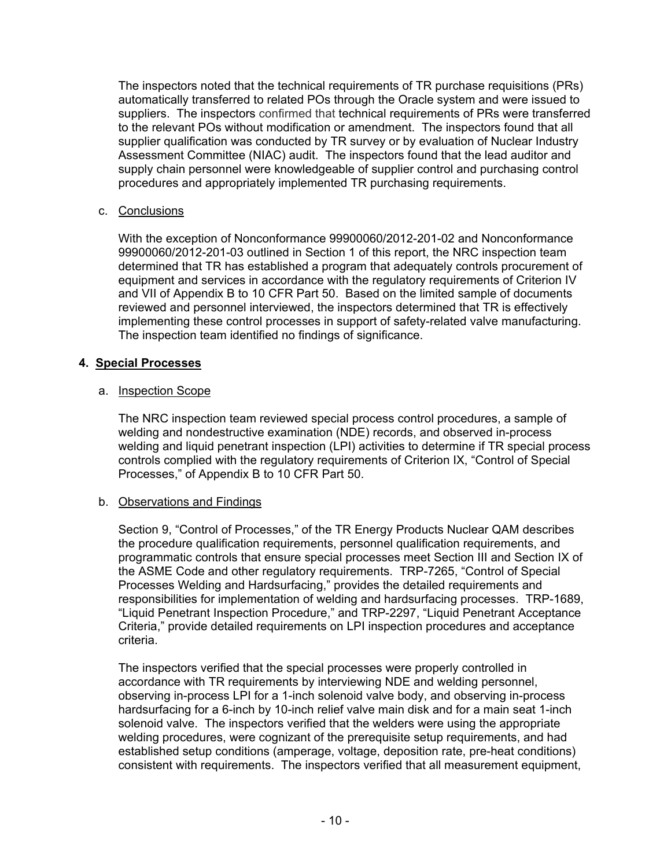The inspectors noted that the technical requirements of TR purchase requisitions (PRs) automatically transferred to related POs through the Oracle system and were issued to suppliers. The inspectors confirmed that technical requirements of PRs were transferred to the relevant POs without modification or amendment. The inspectors found that all supplier qualification was conducted by TR survey or by evaluation of Nuclear Industry Assessment Committee (NIAC) audit. The inspectors found that the lead auditor and supply chain personnel were knowledgeable of supplier control and purchasing control procedures and appropriately implemented TR purchasing requirements.

## c. Conclusions

With the exception of Nonconformance 99900060/2012-201-02 and Nonconformance 99900060/2012-201-03 outlined in Section 1 of this report, the NRC inspection team determined that TR has established a program that adequately controls procurement of equipment and services in accordance with the regulatory requirements of Criterion IV and VII of Appendix B to 10 CFR Part 50. Based on the limited sample of documents reviewed and personnel interviewed, the inspectors determined that TR is effectively implementing these control processes in support of safety-related valve manufacturing. The inspection team identified no findings of significance.

## **4. Special Processes**

## a. Inspection Scope

The NRC inspection team reviewed special process control procedures, a sample of welding and nondestructive examination (NDE) records, and observed in-process welding and liquid penetrant inspection (LPI) activities to determine if TR special process controls complied with the regulatory requirements of Criterion IX, "Control of Special Processes," of Appendix B to 10 CFR Part 50.

# b. Observations and Findings

Section 9, "Control of Processes," of the TR Energy Products Nuclear QAM describes the procedure qualification requirements, personnel qualification requirements, and programmatic controls that ensure special processes meet Section III and Section IX of the ASME Code and other regulatory requirements. TRP-7265, "Control of Special Processes Welding and Hardsurfacing," provides the detailed requirements and responsibilities for implementation of welding and hardsurfacing processes. TRP-1689, "Liquid Penetrant Inspection Procedure," and TRP-2297, "Liquid Penetrant Acceptance Criteria," provide detailed requirements on LPI inspection procedures and acceptance criteria.

The inspectors verified that the special processes were properly controlled in accordance with TR requirements by interviewing NDE and welding personnel, observing in-process LPI for a 1-inch solenoid valve body, and observing in-process hardsurfacing for a 6-inch by 10-inch relief valve main disk and for a main seat 1-inch solenoid valve. The inspectors verified that the welders were using the appropriate welding procedures, were cognizant of the prerequisite setup requirements, and had established setup conditions (amperage, voltage, deposition rate, pre-heat conditions) consistent with requirements. The inspectors verified that all measurement equipment,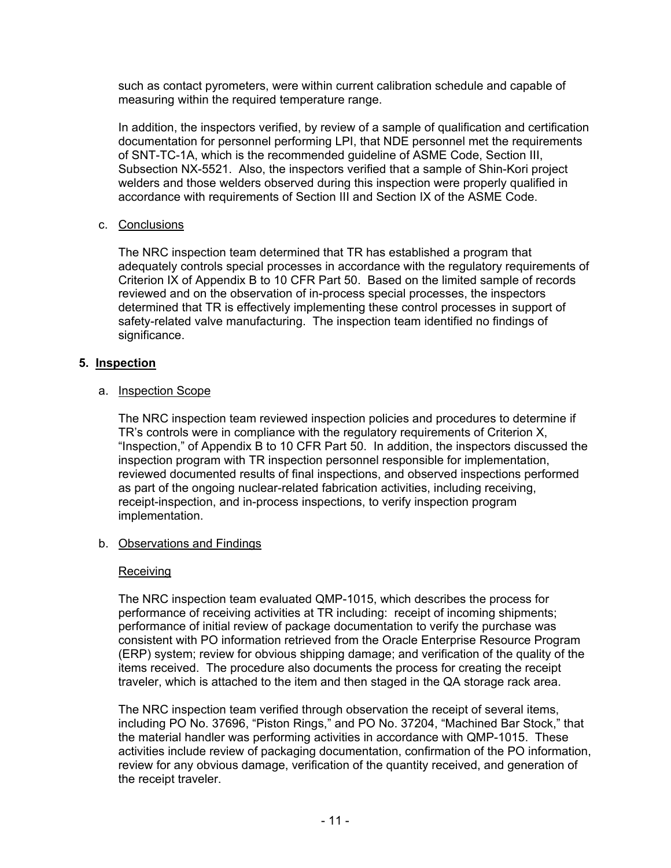such as contact pyrometers, were within current calibration schedule and capable of measuring within the required temperature range.

In addition, the inspectors verified, by review of a sample of qualification and certification documentation for personnel performing LPI, that NDE personnel met the requirements of SNT-TC-1A, which is the recommended guideline of ASME Code, Section III, Subsection NX-5521. Also, the inspectors verified that a sample of Shin-Kori project welders and those welders observed during this inspection were properly qualified in accordance with requirements of Section III and Section IX of the ASME Code.

## c. Conclusions

The NRC inspection team determined that TR has established a program that adequately controls special processes in accordance with the regulatory requirements of Criterion IX of Appendix B to 10 CFR Part 50. Based on the limited sample of records reviewed and on the observation of in-process special processes, the inspectors determined that TR is effectively implementing these control processes in support of safety-related valve manufacturing. The inspection team identified no findings of significance.

## **5. Inspection**

#### a. Inspection Scope

The NRC inspection team reviewed inspection policies and procedures to determine if TR's controls were in compliance with the regulatory requirements of Criterion X, "Inspection," of Appendix B to 10 CFR Part 50. In addition, the inspectors discussed the inspection program with TR inspection personnel responsible for implementation, reviewed documented results of final inspections, and observed inspections performed as part of the ongoing nuclear-related fabrication activities, including receiving, receipt-inspection, and in-process inspections, to verify inspection program implementation.

## b. Observations and Findings

#### Receiving

The NRC inspection team evaluated QMP-1015, which describes the process for performance of receiving activities at TR including: receipt of incoming shipments; performance of initial review of package documentation to verify the purchase was consistent with PO information retrieved from the Oracle Enterprise Resource Program (ERP) system; review for obvious shipping damage; and verification of the quality of the items received. The procedure also documents the process for creating the receipt traveler, which is attached to the item and then staged in the QA storage rack area.

The NRC inspection team verified through observation the receipt of several items, including PO No. 37696, "Piston Rings," and PO No. 37204, "Machined Bar Stock," that the material handler was performing activities in accordance with QMP-1015. These activities include review of packaging documentation, confirmation of the PO information, review for any obvious damage, verification of the quantity received, and generation of the receipt traveler.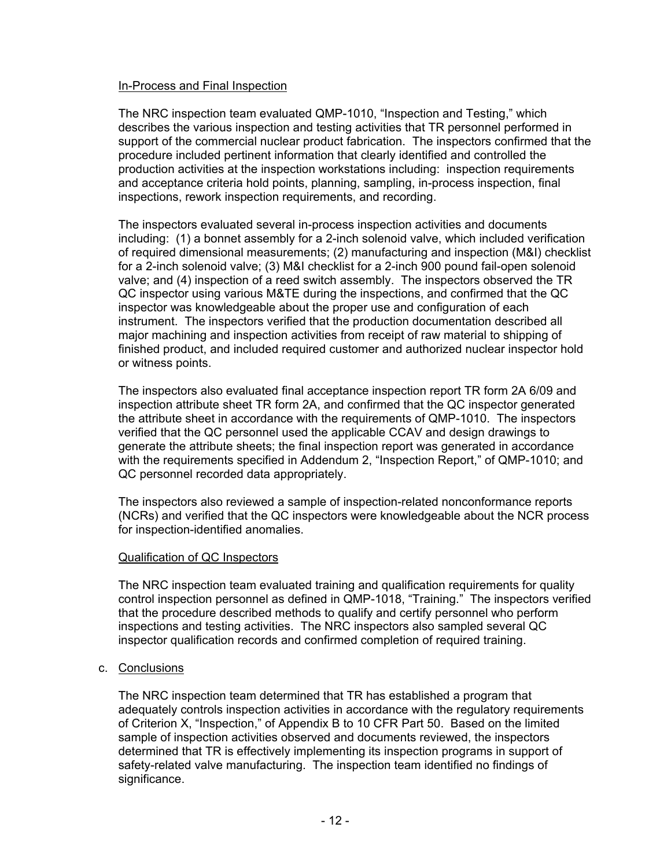### In-Process and Final Inspection

The NRC inspection team evaluated QMP-1010, "Inspection and Testing," which describes the various inspection and testing activities that TR personnel performed in support of the commercial nuclear product fabrication. The inspectors confirmed that the procedure included pertinent information that clearly identified and controlled the production activities at the inspection workstations including: inspection requirements and acceptance criteria hold points, planning, sampling, in-process inspection, final inspections, rework inspection requirements, and recording.

The inspectors evaluated several in-process inspection activities and documents including: (1) a bonnet assembly for a 2-inch solenoid valve, which included verification of required dimensional measurements; (2) manufacturing and inspection (M&I) checklist for a 2-inch solenoid valve; (3) M&I checklist for a 2-inch 900 pound fail-open solenoid valve; and (4) inspection of a reed switch assembly. The inspectors observed the TR QC inspector using various M&TE during the inspections, and confirmed that the QC inspector was knowledgeable about the proper use and configuration of each instrument. The inspectors verified that the production documentation described all major machining and inspection activities from receipt of raw material to shipping of finished product, and included required customer and authorized nuclear inspector hold or witness points.

The inspectors also evaluated final acceptance inspection report TR form 2A 6/09 and inspection attribute sheet TR form 2A, and confirmed that the QC inspector generated the attribute sheet in accordance with the requirements of QMP-1010. The inspectors verified that the QC personnel used the applicable CCAV and design drawings to generate the attribute sheets; the final inspection report was generated in accordance with the requirements specified in Addendum 2, "Inspection Report," of QMP-1010; and QC personnel recorded data appropriately.

The inspectors also reviewed a sample of inspection-related nonconformance reports (NCRs) and verified that the QC inspectors were knowledgeable about the NCR process for inspection-identified anomalies.

## Qualification of QC Inspectors

The NRC inspection team evaluated training and qualification requirements for quality control inspection personnel as defined in QMP-1018, "Training." The inspectors verified that the procedure described methods to qualify and certify personnel who perform inspections and testing activities. The NRC inspectors also sampled several QC inspector qualification records and confirmed completion of required training.

## c. Conclusions

The NRC inspection team determined that TR has established a program that adequately controls inspection activities in accordance with the regulatory requirements of Criterion X, "Inspection," of Appendix B to 10 CFR Part 50. Based on the limited sample of inspection activities observed and documents reviewed, the inspectors determined that TR is effectively implementing its inspection programs in support of safety-related valve manufacturing. The inspection team identified no findings of significance.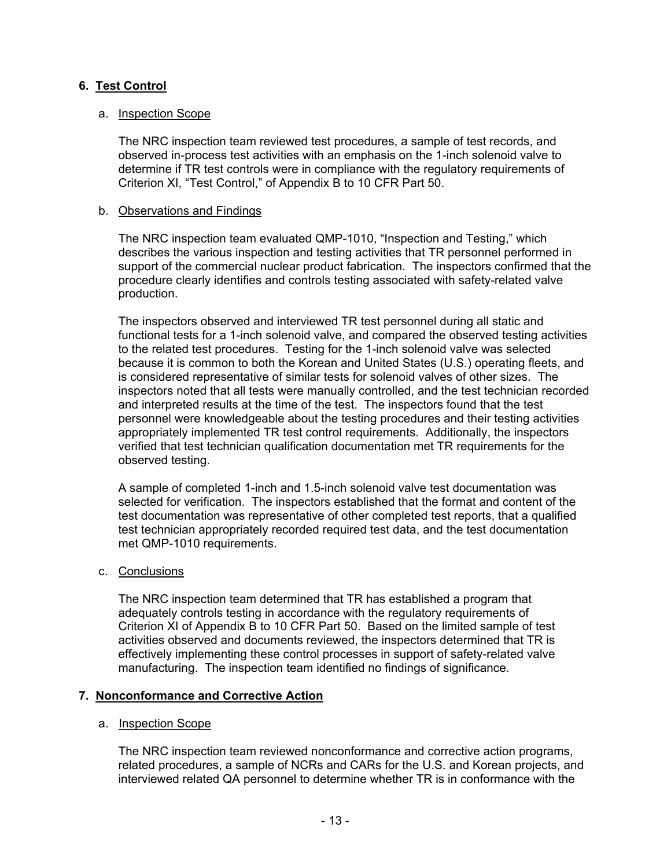# **6. Test Control**

### a. Inspection Scope

The NRC inspection team reviewed test procedures, a sample of test records, and observed in-process test activities with an emphasis on the 1-inch solenoid valve to determine if TR test controls were in compliance with the regulatory requirements of Criterion XI, "Test Control," of Appendix B to 10 CFR Part 50.

#### b. Observations and Findings

The NRC inspection team evaluated QMP-1010, "Inspection and Testing," which describes the various inspection and testing activities that TR personnel performed in support of the commercial nuclear product fabrication. The inspectors confirmed that the procedure clearly identifies and controls testing associated with safety-related valve production.

The inspectors observed and interviewed TR test personnel during all static and functional tests for a 1-inch solenoid valve, and compared the observed testing activities to the related test procedures. Testing for the 1-inch solenoid valve was selected because it is common to both the Korean and United States (U.S.) operating fleets, and is considered representative of similar tests for solenoid valves of other sizes. The inspectors noted that all tests were manually controlled, and the test technician recorded and interpreted results at the time of the test. The inspectors found that the test personnel were knowledgeable about the testing procedures and their testing activities appropriately implemented TR test control requirements. Additionally, the inspectors verified that test technician qualification documentation met TR requirements for the observed testing.

A sample of completed 1-inch and 1.5-inch solenoid valve test documentation was selected for verification. The inspectors established that the format and content of the test documentation was representative of other completed test reports, that a qualified test technician appropriately recorded required test data, and the test documentation met QMP-1010 requirements.

#### c. Conclusions

The NRC inspection team determined that TR has established a program that adequately controls testing in accordance with the regulatory requirements of Criterion XI of Appendix B to 10 CFR Part 50. Based on the limited sample of test activities observed and documents reviewed, the inspectors determined that TR is effectively implementing these control processes in support of safety-related valve manufacturing. The inspection team identified no findings of significance.

## **7. Nonconformance and Corrective Action**

#### a. Inspection Scope

The NRC inspection team reviewed nonconformance and corrective action programs, related procedures, a sample of NCRs and CARs for the U.S. and Korean projects, and interviewed related QA personnel to determine whether TR is in conformance with the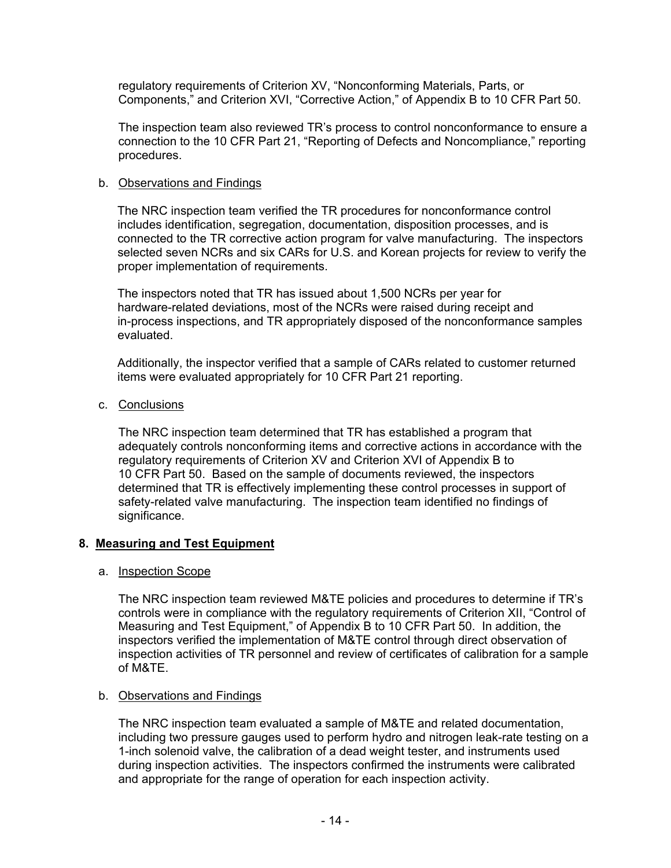regulatory requirements of Criterion XV, "Nonconforming Materials, Parts, or Components," and Criterion XVI, "Corrective Action," of Appendix B to 10 CFR Part 50.

The inspection team also reviewed TR's process to control nonconformance to ensure a connection to the 10 CFR Part 21, "Reporting of Defects and Noncompliance," reporting procedures.

#### b. Observations and Findings

The NRC inspection team verified the TR procedures for nonconformance control includes identification, segregation, documentation, disposition processes, and is connected to the TR corrective action program for valve manufacturing. The inspectors selected seven NCRs and six CARs for U.S. and Korean projects for review to verify the proper implementation of requirements.

The inspectors noted that TR has issued about 1,500 NCRs per year for hardware-related deviations, most of the NCRs were raised during receipt and in-process inspections, and TR appropriately disposed of the nonconformance samples evaluated.

Additionally, the inspector verified that a sample of CARs related to customer returned items were evaluated appropriately for 10 CFR Part 21 reporting.

c. Conclusions

The NRC inspection team determined that TR has established a program that adequately controls nonconforming items and corrective actions in accordance with the regulatory requirements of Criterion XV and Criterion XVI of Appendix B to 10 CFR Part 50. Based on the sample of documents reviewed, the inspectors determined that TR is effectively implementing these control processes in support of safety-related valve manufacturing. The inspection team identified no findings of significance.

## **8. Measuring and Test Equipment**

## a. Inspection Scope

The NRC inspection team reviewed M&TE policies and procedures to determine if TR's controls were in compliance with the regulatory requirements of Criterion XII, "Control of Measuring and Test Equipment," of Appendix B to 10 CFR Part 50. In addition, the inspectors verified the implementation of M&TE control through direct observation of inspection activities of TR personnel and review of certificates of calibration for a sample of M&TE.

## b. Observations and Findings

The NRC inspection team evaluated a sample of M&TE and related documentation, including two pressure gauges used to perform hydro and nitrogen leak-rate testing on a 1-inch solenoid valve, the calibration of a dead weight tester, and instruments used during inspection activities. The inspectors confirmed the instruments were calibrated and appropriate for the range of operation for each inspection activity.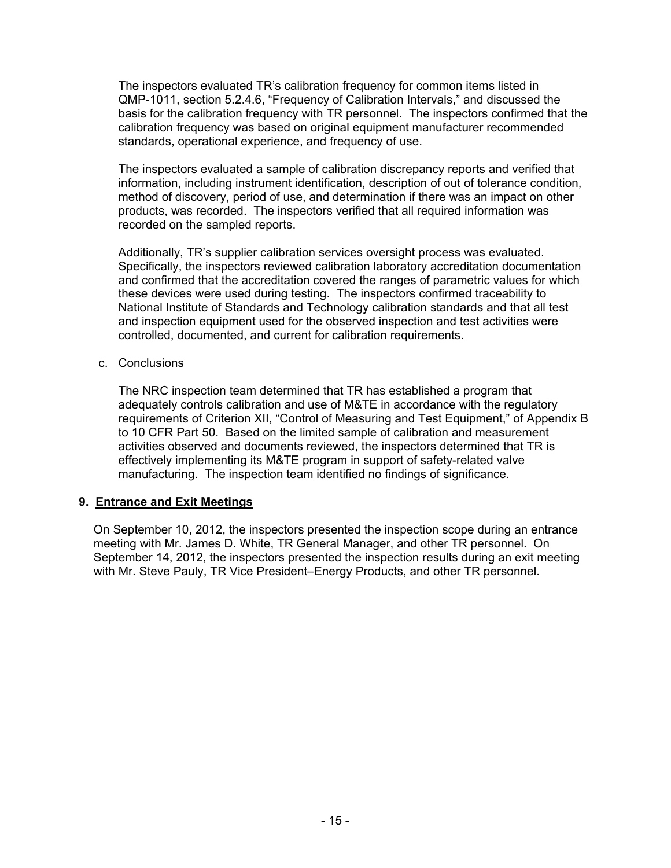The inspectors evaluated TR's calibration frequency for common items listed in QMP-1011, section 5.2.4.6, "Frequency of Calibration Intervals," and discussed the basis for the calibration frequency with TR personnel. The inspectors confirmed that the calibration frequency was based on original equipment manufacturer recommended standards, operational experience, and frequency of use.

The inspectors evaluated a sample of calibration discrepancy reports and verified that information, including instrument identification, description of out of tolerance condition, method of discovery, period of use, and determination if there was an impact on other products, was recorded. The inspectors verified that all required information was recorded on the sampled reports.

Additionally, TR's supplier calibration services oversight process was evaluated. Specifically, the inspectors reviewed calibration laboratory accreditation documentation and confirmed that the accreditation covered the ranges of parametric values for which these devices were used during testing. The inspectors confirmed traceability to National Institute of Standards and Technology calibration standards and that all test and inspection equipment used for the observed inspection and test activities were controlled, documented, and current for calibration requirements.

#### c. Conclusions

The NRC inspection team determined that TR has established a program that adequately controls calibration and use of M&TE in accordance with the regulatory requirements of Criterion XII, "Control of Measuring and Test Equipment," of Appendix B to 10 CFR Part 50. Based on the limited sample of calibration and measurement activities observed and documents reviewed, the inspectors determined that TR is effectively implementing its M&TE program in support of safety-related valve manufacturing. The inspection team identified no findings of significance.

## **9. Entrance and Exit Meetings**

On September 10, 2012, the inspectors presented the inspection scope during an entrance meeting with Mr. James D. White, TR General Manager, and other TR personnel. On September 14, 2012, the inspectors presented the inspection results during an exit meeting with Mr. Steve Pauly, TR Vice President–Energy Products, and other TR personnel.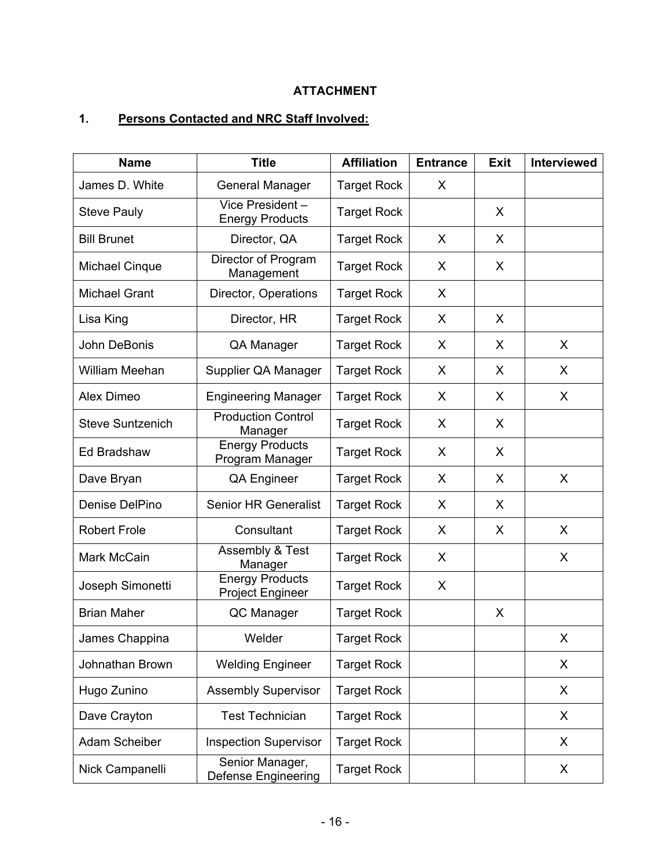# **ATTACHMENT**

# **1. Persons Contacted and NRC Staff Involved:**

| <b>Name</b>             | <b>Title</b>                                      | <b>Affiliation</b> | <b>Entrance</b> | <b>Exit</b> | Interviewed |
|-------------------------|---------------------------------------------------|--------------------|-----------------|-------------|-------------|
| James D. White          | <b>General Manager</b>                            | <b>Target Rock</b> | X               |             |             |
| <b>Steve Pauly</b>      | Vice President -<br><b>Energy Products</b>        | <b>Target Rock</b> |                 | X           |             |
| <b>Bill Brunet</b>      | Director, QA                                      | <b>Target Rock</b> | X               | X           |             |
| <b>Michael Cinque</b>   | Director of Program<br>Management                 | <b>Target Rock</b> | X               | X           |             |
| <b>Michael Grant</b>    | Director, Operations                              | <b>Target Rock</b> | X               |             |             |
| Lisa King               | Director, HR                                      | <b>Target Rock</b> | X               | X           |             |
| John DeBonis            | QA Manager                                        | <b>Target Rock</b> | X               | X           | X           |
| William Meehan          | Supplier QA Manager                               | <b>Target Rock</b> | X               | X           | X           |
| Alex Dimeo              | <b>Engineering Manager</b>                        | <b>Target Rock</b> | X               | X           | X           |
| <b>Steve Suntzenich</b> | <b>Production Control</b><br>Manager              | <b>Target Rock</b> | X               | X           |             |
| Ed Bradshaw             | <b>Energy Products</b><br>Program Manager         | <b>Target Rock</b> | X               | X           |             |
| Dave Bryan              | <b>QA Engineer</b>                                | <b>Target Rock</b> | X               | X           | X           |
| Denise DelPino          | <b>Senior HR Generalist</b>                       | <b>Target Rock</b> | X               | X           |             |
| <b>Robert Frole</b>     | Consultant                                        | <b>Target Rock</b> | X               | X           | X           |
| Mark McCain             | Assembly & Test<br>Manager                        | <b>Target Rock</b> | X               |             | X           |
| Joseph Simonetti        | <b>Energy Products</b><br><b>Project Engineer</b> | <b>Target Rock</b> | X               |             |             |
| <b>Brian Maher</b>      | QC Manager                                        | <b>Target Rock</b> |                 | X           |             |
| James Chappina          | Welder                                            | <b>Target Rock</b> |                 |             | X           |
| Johnathan Brown         | <b>Welding Engineer</b>                           | <b>Target Rock</b> |                 |             | X           |
| Hugo Zunino             | <b>Assembly Supervisor</b>                        | <b>Target Rock</b> |                 |             | X           |
| Dave Crayton            | <b>Test Technician</b>                            | <b>Target Rock</b> |                 |             | X           |
| Adam Scheiber           | <b>Inspection Supervisor</b>                      | <b>Target Rock</b> |                 |             | X           |
| Nick Campanelli         | Senior Manager,<br><b>Defense Engineering</b>     | <b>Target Rock</b> |                 |             | X           |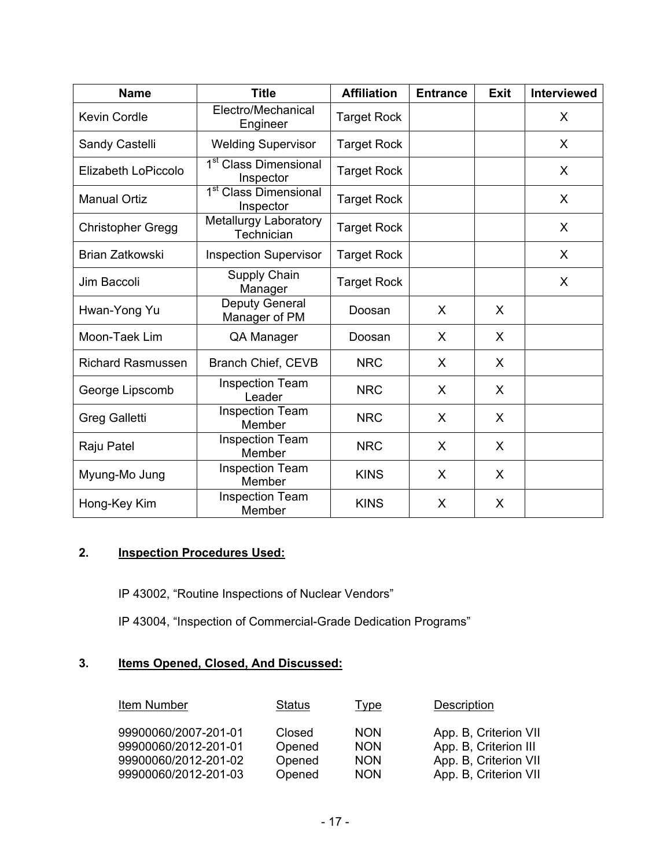| <b>Name</b>                                           | <b>Title</b>                                   |                    | <b>Entrance</b> | <b>Exit</b> | Interviewed  |
|-------------------------------------------------------|------------------------------------------------|--------------------|-----------------|-------------|--------------|
| Electro/Mechanical<br><b>Kevin Cordle</b><br>Engineer |                                                | <b>Target Rock</b> |                 |             | X            |
| Sandy Castelli<br><b>Welding Supervisor</b>           |                                                | <b>Target Rock</b> |                 |             | $\mathsf{X}$ |
| Elizabeth LoPiccolo                                   | 1 <sup>st</sup> Class Dimensional<br>Inspector | <b>Target Rock</b> |                 |             | X            |
| <b>Manual Ortiz</b>                                   | 1 <sup>st</sup> Class Dimensional<br>Inspector | <b>Target Rock</b> |                 |             | X            |
| Christopher Gregg                                     | Metallurgy Laboratory<br>Technician            | <b>Target Rock</b> |                 |             | X            |
| Brian Zatkowski                                       | <b>Inspection Supervisor</b>                   | <b>Target Rock</b> |                 |             | X            |
| Jim Baccoli                                           | Supply Chain<br>Manager                        | <b>Target Rock</b> |                 |             | X            |
| Hwan-Yong Yu                                          | Deputy General<br>Manager of PM                | Doosan             | X               | X           |              |
| Moon-Taek Lim                                         | QA Manager                                     | Doosan             | X               | X           |              |
| <b>Richard Rasmussen</b>                              | <b>Branch Chief, CEVB</b>                      | <b>NRC</b>         | X               | X           |              |
| George Lipscomb                                       | <b>Inspection Team</b><br>Leader               | <b>NRC</b>         | X               | X           |              |
| <b>Greg Galletti</b>                                  | <b>Inspection Team</b><br>Member               | <b>NRC</b>         | X               | X           |              |
| Raju Patel                                            | <b>Inspection Team</b><br>Member               | <b>NRC</b>         | X               | X           |              |
| Myung-Mo Jung                                         | <b>Inspection Team</b><br>Member               | <b>KINS</b>        | X               | X           |              |
| Hong-Key Kim                                          | <b>Inspection Team</b><br>Member               | <b>KINS</b>        | X               | X           |              |

# **2. Inspection Procedures Used:**

IP 43002, "Routine Inspections of Nuclear Vendors"

IP 43004, "Inspection of Commercial-Grade Dedication Programs"

# **3. Items Opened, Closed, And Discussed:**

| Item Number          | <b>Status</b> | Type       | Description           |
|----------------------|---------------|------------|-----------------------|
| 99900060/2007-201-01 | Closed        | <b>NON</b> | App. B, Criterion VII |
| 99900060/2012-201-01 | Opened        | <b>NON</b> | App. B, Criterion III |
| 99900060/2012-201-02 | Opened        | <b>NON</b> | App. B, Criterion VII |
| 99900060/2012-201-03 | Opened        | <b>NON</b> | App. B, Criterion VII |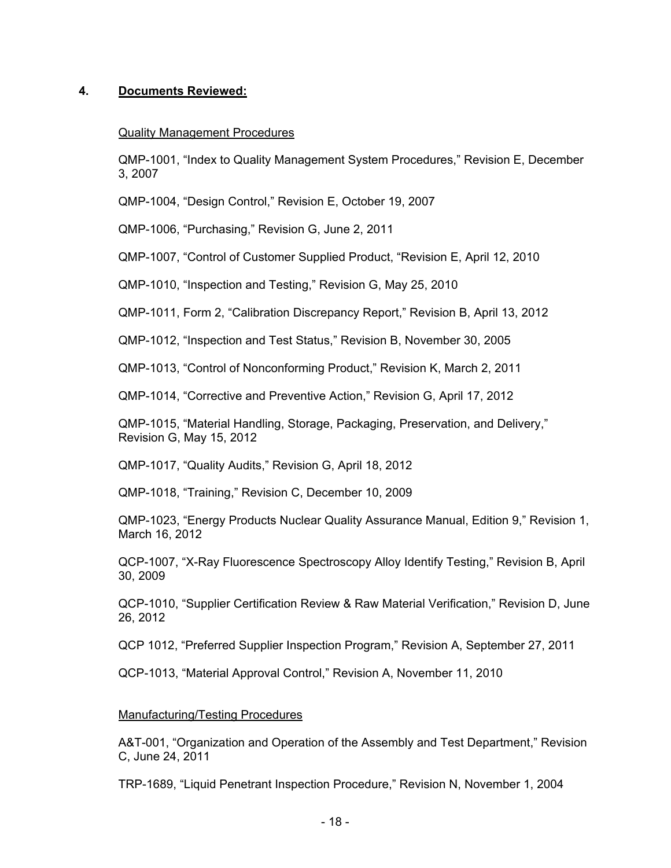## **4. Documents Reviewed:**

## Quality Management Procedures

QMP-1001, "Index to Quality Management System Procedures," Revision E, December 3, 2007

QMP-1004, "Design Control," Revision E, October 19, 2007

QMP-1006, "Purchasing," Revision G, June 2, 2011

QMP-1007, "Control of Customer Supplied Product, "Revision E, April 12, 2010

QMP-1010, "Inspection and Testing," Revision G, May 25, 2010

QMP-1011, Form 2, "Calibration Discrepancy Report," Revision B, April 13, 2012

QMP-1012, "Inspection and Test Status," Revision B, November 30, 2005

QMP-1013, "Control of Nonconforming Product," Revision K, March 2, 2011

QMP-1014, "Corrective and Preventive Action," Revision G, April 17, 2012

QMP-1015, "Material Handling, Storage, Packaging, Preservation, and Delivery," Revision G, May 15, 2012

QMP-1017, "Quality Audits," Revision G, April 18, 2012

QMP-1018, "Training," Revision C, December 10, 2009

QMP-1023, "Energy Products Nuclear Quality Assurance Manual, Edition 9," Revision 1, March 16, 2012

QCP-1007, "X-Ray Fluorescence Spectroscopy Alloy Identify Testing," Revision B, April 30, 2009

QCP-1010, "Supplier Certification Review & Raw Material Verification," Revision D, June 26, 2012

QCP 1012, "Preferred Supplier Inspection Program," Revision A, September 27, 2011

QCP-1013, "Material Approval Control," Revision A, November 11, 2010

#### Manufacturing/Testing Procedures

A&T-001, "Organization and Operation of the Assembly and Test Department," Revision C, June 24, 2011

TRP-1689, "Liquid Penetrant Inspection Procedure," Revision N, November 1, 2004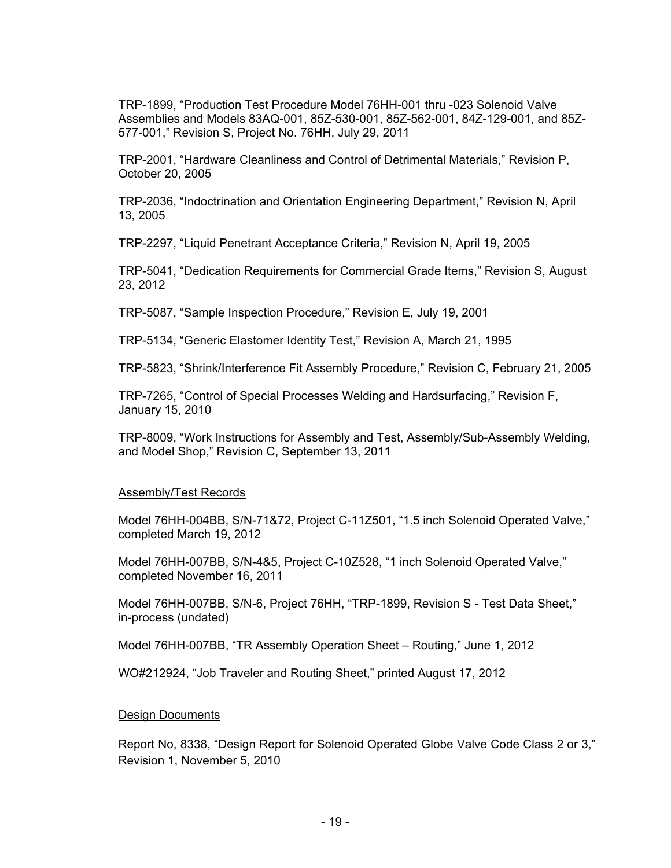TRP-1899, "Production Test Procedure Model 76HH-001 thru -023 Solenoid Valve Assemblies and Models 83AQ-001, 85Z-530-001, 85Z-562-001, 84Z-129-001, and 85Z-577-001," Revision S, Project No. 76HH, July 29, 2011

TRP-2001, "Hardware Cleanliness and Control of Detrimental Materials," Revision P, October 20, 2005

TRP-2036, "Indoctrination and Orientation Engineering Department," Revision N, April 13, 2005

TRP-2297, "Liquid Penetrant Acceptance Criteria," Revision N, April 19, 2005

TRP-5041, "Dedication Requirements for Commercial Grade Items," Revision S, August 23, 2012

TRP-5087, "Sample Inspection Procedure," Revision E, July 19, 2001

TRP-5134, "Generic Elastomer Identity Test," Revision A, March 21, 1995

TRP-5823, "Shrink/Interference Fit Assembly Procedure," Revision C, February 21, 2005

TRP-7265, "Control of Special Processes Welding and Hardsurfacing," Revision F, January 15, 2010

TRP-8009, "Work Instructions for Assembly and Test, Assembly/Sub-Assembly Welding, and Model Shop," Revision C, September 13, 2011

#### Assembly/Test Records

Model 76HH-004BB, S/N-71&72, Project C-11Z501, "1.5 inch Solenoid Operated Valve," completed March 19, 2012

Model 76HH-007BB, S/N-4&5, Project C-10Z528, "1 inch Solenoid Operated Valve," completed November 16, 2011

Model 76HH-007BB, S/N-6, Project 76HH, "TRP-1899, Revision S - Test Data Sheet," in-process (undated)

Model 76HH-007BB, "TR Assembly Operation Sheet – Routing," June 1, 2012

WO#212924, "Job Traveler and Routing Sheet," printed August 17, 2012

#### **Design Documents**

Report No, 8338, "Design Report for Solenoid Operated Globe Valve Code Class 2 or 3," Revision 1, November 5, 2010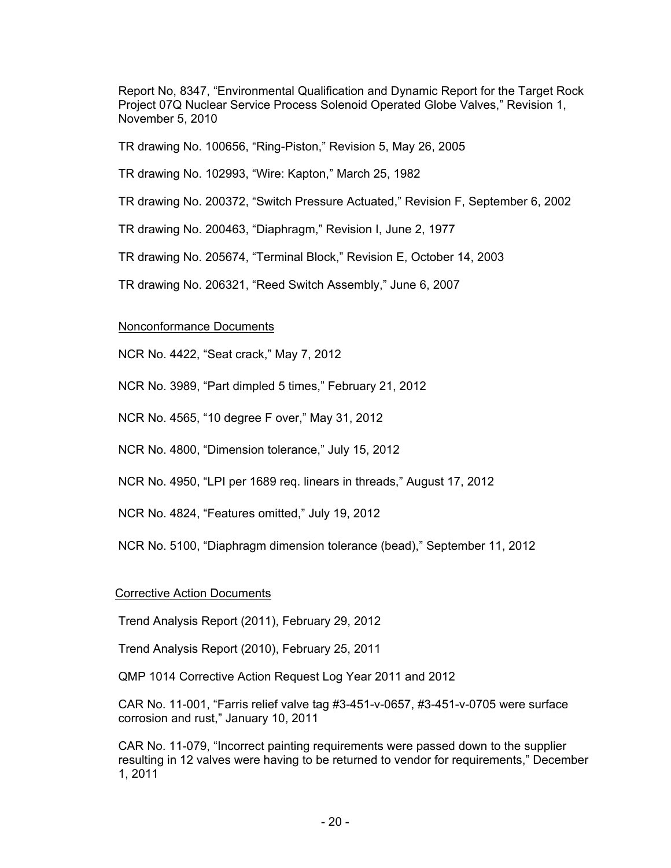Report No, 8347, "Environmental Qualification and Dynamic Report for the Target Rock Project 07Q Nuclear Service Process Solenoid Operated Globe Valves," Revision 1, November 5, 2010

TR drawing No. 100656, "Ring-Piston," Revision 5, May 26, 2005

TR drawing No. 102993, "Wire: Kapton," March 25, 1982

TR drawing No. 200372, "Switch Pressure Actuated," Revision F, September 6, 2002

TR drawing No. 200463, "Diaphragm," Revision I, June 2, 1977

TR drawing No. 205674, "Terminal Block," Revision E, October 14, 2003

TR drawing No. 206321, "Reed Switch Assembly," June 6, 2007

## Nonconformance Documents

NCR No. 4422, "Seat crack," May 7, 2012

NCR No. 3989, "Part dimpled 5 times," February 21, 2012

NCR No. 4565, "10 degree F over," May 31, 2012

NCR No. 4800, "Dimension tolerance," July 15, 2012

NCR No. 4950, "LPI per 1689 req. linears in threads," August 17, 2012

NCR No. 4824, "Features omitted," July 19, 2012

NCR No. 5100, "Diaphragm dimension tolerance (bead)," September 11, 2012

## Corrective Action Documents

Trend Analysis Report (2011), February 29, 2012

Trend Analysis Report (2010), February 25, 2011

QMP 1014 Corrective Action Request Log Year 2011 and 2012

CAR No. 11-001, "Farris relief valve tag #3-451-v-0657, #3-451-v-0705 were surface corrosion and rust," January 10, 2011

CAR No. 11-079, "Incorrect painting requirements were passed down to the supplier resulting in 12 valves were having to be returned to vendor for requirements," December 1, 2011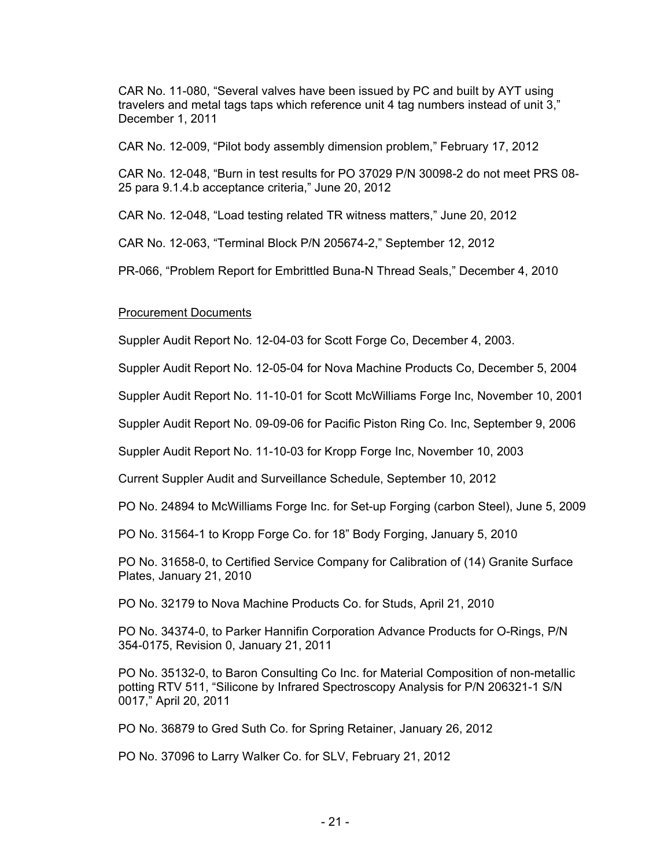CAR No. 11-080, "Several valves have been issued by PC and built by AYT using travelers and metal tags taps which reference unit 4 tag numbers instead of unit 3," December 1, 2011

CAR No. 12-009, "Pilot body assembly dimension problem," February 17, 2012

CAR No. 12-048, "Burn in test results for PO 37029 P/N 30098-2 do not meet PRS 08- 25 para 9.1.4.b acceptance criteria," June 20, 2012

CAR No. 12-048, "Load testing related TR witness matters," June 20, 2012

CAR No. 12-063, "Terminal Block P/N 205674-2," September 12, 2012

PR-066, "Problem Report for Embrittled Buna-N Thread Seals," December 4, 2010

#### Procurement Documents

Suppler Audit Report No. 12-04-03 for Scott Forge Co, December 4, 2003.

Suppler Audit Report No. 12-05-04 for Nova Machine Products Co, December 5, 2004

Suppler Audit Report No. 11-10-01 for Scott McWilliams Forge Inc, November 10, 2001

Suppler Audit Report No. 09-09-06 for Pacific Piston Ring Co. Inc, September 9, 2006

Suppler Audit Report No. 11-10-03 for Kropp Forge Inc, November 10, 2003

Current Suppler Audit and Surveillance Schedule, September 10, 2012

PO No. 24894 to McWilliams Forge Inc. for Set-up Forging (carbon Steel), June 5, 2009

PO No. 31564-1 to Kropp Forge Co. for 18" Body Forging, January 5, 2010

PO No. 31658-0, to Certified Service Company for Calibration of (14) Granite Surface Plates, January 21, 2010

PO No. 32179 to Nova Machine Products Co. for Studs, April 21, 2010

PO No. 34374-0, to Parker Hannifin Corporation Advance Products for O-Rings, P/N 354-0175, Revision 0, January 21, 2011

PO No. 35132-0, to Baron Consulting Co Inc. for Material Composition of non-metallic potting RTV 511, "Silicone by Infrared Spectroscopy Analysis for P/N 206321-1 S/N 0017," April 20, 2011

PO No. 36879 to Gred Suth Co. for Spring Retainer, January 26, 2012

PO No. 37096 to Larry Walker Co. for SLV, February 21, 2012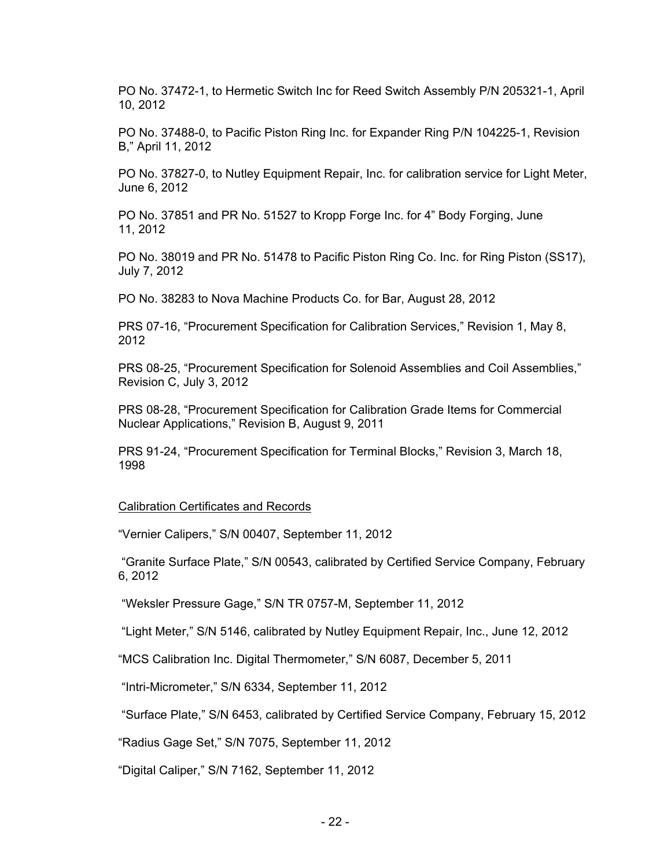PO No. 37472-1, to Hermetic Switch Inc for Reed Switch Assembly P/N 205321-1, April 10, 2012

PO No. 37488-0, to Pacific Piston Ring Inc. for Expander Ring P/N 104225-1, Revision B," April 11, 2012

PO No. 37827-0, to Nutley Equipment Repair, Inc. for calibration service for Light Meter, June 6, 2012

PO No. 37851 and PR No. 51527 to Kropp Forge Inc. for 4" Body Forging, June 11, 2012

PO No. 38019 and PR No. 51478 to Pacific Piston Ring Co. Inc. for Ring Piston (SS17), July 7, 2012

PO No. 38283 to Nova Machine Products Co. for Bar, August 28, 2012

PRS 07-16, "Procurement Specification for Calibration Services," Revision 1, May 8, 2012

PRS 08-25, "Procurement Specification for Solenoid Assemblies and Coil Assemblies," Revision C, July 3, 2012

PRS 08-28, "Procurement Specification for Calibration Grade Items for Commercial Nuclear Applications," Revision B, August 9, 2011

PRS 91-24, "Procurement Specification for Terminal Blocks," Revision 3, March 18, 1998

#### Calibration Certificates and Records

"Vernier Calipers," S/N 00407, September 11, 2012

 "Granite Surface Plate," S/N 00543, calibrated by Certified Service Company, February 6, 2012

"Weksler Pressure Gage," S/N TR 0757-M, September 11, 2012

"Light Meter," S/N 5146, calibrated by Nutley Equipment Repair, Inc., June 12, 2012

"MCS Calibration Inc. Digital Thermometer," S/N 6087, December 5, 2011

"Intri-Micrometer," S/N 6334, September 11, 2012

"Surface Plate," S/N 6453, calibrated by Certified Service Company, February 15, 2012

"Radius Gage Set," S/N 7075, September 11, 2012

"Digital Caliper," S/N 7162, September 11, 2012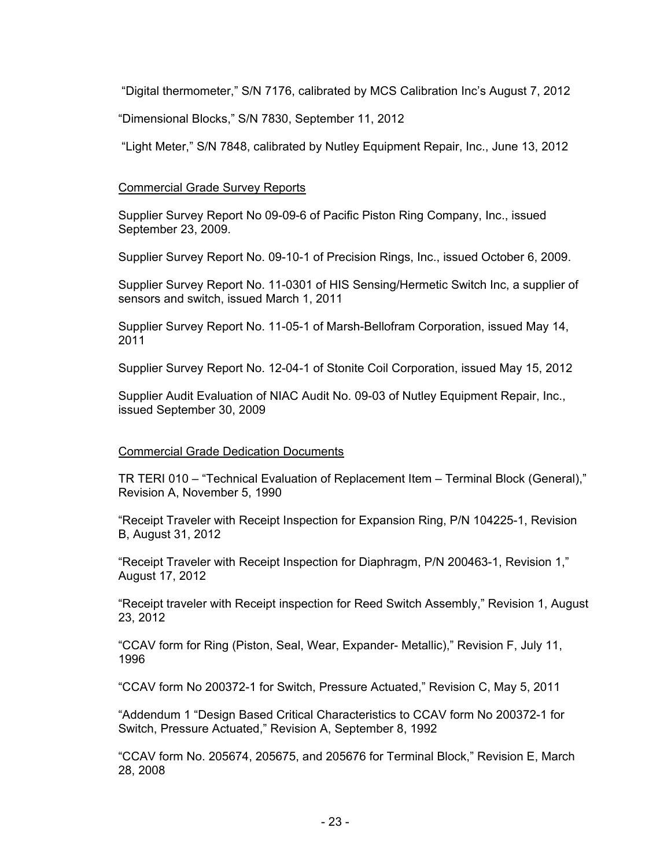"Digital thermometer," S/N 7176, calibrated by MCS Calibration Inc's August 7, 2012

"Dimensional Blocks," S/N 7830, September 11, 2012

"Light Meter," S/N 7848, calibrated by Nutley Equipment Repair, Inc., June 13, 2012

#### Commercial Grade Survey Reports

Supplier Survey Report No 09-09-6 of Pacific Piston Ring Company, Inc., issued September 23, 2009.

Supplier Survey Report No. 09-10-1 of Precision Rings, Inc., issued October 6, 2009.

Supplier Survey Report No. 11-0301 of HIS Sensing/Hermetic Switch Inc, a supplier of sensors and switch, issued March 1, 2011

Supplier Survey Report No. 11-05-1 of Marsh-Bellofram Corporation, issued May 14, 2011

Supplier Survey Report No. 12-04-1 of Stonite Coil Corporation, issued May 15, 2012

Supplier Audit Evaluation of NIAC Audit No. 09-03 of Nutley Equipment Repair, Inc., issued September 30, 2009

## Commercial Grade Dedication Documents

TR TERI 010 – "Technical Evaluation of Replacement Item – Terminal Block (General)," Revision A, November 5, 1990

"Receipt Traveler with Receipt Inspection for Expansion Ring, P/N 104225-1, Revision B, August 31, 2012

"Receipt Traveler with Receipt Inspection for Diaphragm, P/N 200463-1, Revision 1," August 17, 2012

"Receipt traveler with Receipt inspection for Reed Switch Assembly," Revision 1, August 23, 2012

"CCAV form for Ring (Piston, Seal, Wear, Expander- Metallic)," Revision F, July 11, 1996

"CCAV form No 200372-1 for Switch, Pressure Actuated," Revision C, May 5, 2011

"Addendum 1 "Design Based Critical Characteristics to CCAV form No 200372-1 for Switch, Pressure Actuated," Revision A, September 8, 1992

"CCAV form No. 205674, 205675, and 205676 for Terminal Block," Revision E, March 28, 2008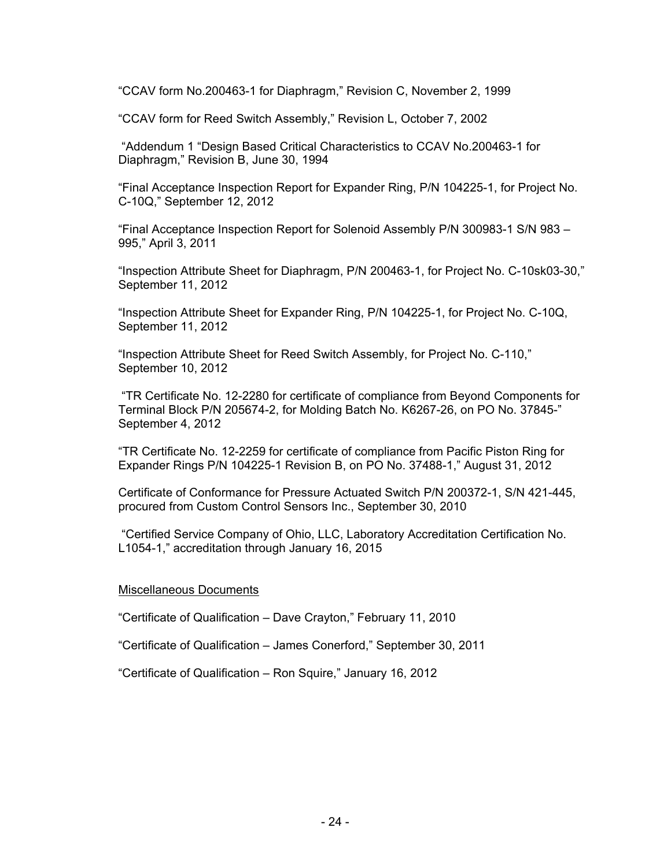"CCAV form No.200463-1 for Diaphragm," Revision C, November 2, 1999

"CCAV form for Reed Switch Assembly," Revision L, October 7, 2002

 "Addendum 1 "Design Based Critical Characteristics to CCAV No.200463-1 for Diaphragm," Revision B, June 30, 1994

"Final Acceptance Inspection Report for Expander Ring, P/N 104225-1, for Project No. C-10Q," September 12, 2012

"Final Acceptance Inspection Report for Solenoid Assembly P/N 300983-1 S/N 983 – 995," April 3, 2011

"Inspection Attribute Sheet for Diaphragm, P/N 200463-1, for Project No. C-10sk03-30," September 11, 2012

"Inspection Attribute Sheet for Expander Ring, P/N 104225-1, for Project No. C-10Q, September 11, 2012

"Inspection Attribute Sheet for Reed Switch Assembly, for Project No. C-110," September 10, 2012

 "TR Certificate No. 12-2280 for certificate of compliance from Beyond Components for Terminal Block P/N 205674-2, for Molding Batch No. K6267-26, on PO No. 37845-" September 4, 2012

"TR Certificate No. 12-2259 for certificate of compliance from Pacific Piston Ring for Expander Rings P/N 104225-1 Revision B, on PO No. 37488-1," August 31, 2012

Certificate of Conformance for Pressure Actuated Switch P/N 200372-1, S/N 421-445, procured from Custom Control Sensors Inc., September 30, 2010

 "Certified Service Company of Ohio, LLC, Laboratory Accreditation Certification No. L1054-1," accreditation through January 16, 2015

#### Miscellaneous Documents

"Certificate of Qualification – Dave Crayton," February 11, 2010

"Certificate of Qualification – James Conerford," September 30, 2011

"Certificate of Qualification – Ron Squire," January 16, 2012